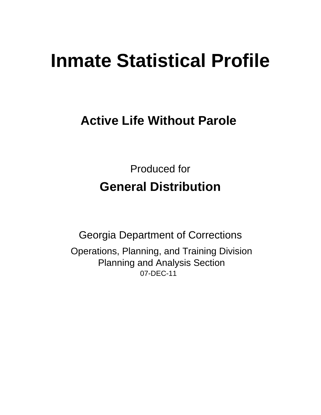# **Inmate Statistical Profile**

## **Active Life Without Parole**

**Produced for General Distribution** 

**Georgia Department of Corrections** Operations, Planning, and Training Division **Planning and Analysis Section** 07-DEC-11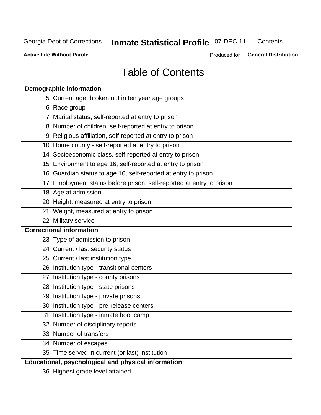## **Inmate Statistical Profile 07-DEC-11**

Contents

**Active Life Without Parole** 

Produced for General Distribution

## **Table of Contents**

| <b>Demographic information</b>                                       |
|----------------------------------------------------------------------|
| 5 Current age, broken out in ten year age groups                     |
| 6 Race group                                                         |
| 7 Marital status, self-reported at entry to prison                   |
| 8 Number of children, self-reported at entry to prison               |
| 9 Religious affiliation, self-reported at entry to prison            |
| 10 Home county - self-reported at entry to prison                    |
| 14 Socioeconomic class, self-reported at entry to prison             |
| 15 Environment to age 16, self-reported at entry to prison           |
| 16 Guardian status to age 16, self-reported at entry to prison       |
| 17 Employment status before prison, self-reported at entry to prison |
| 18 Age at admission                                                  |
| 20 Height, measured at entry to prison                               |
| 21 Weight, measured at entry to prison                               |
| 22 Military service                                                  |
| <b>Correctional information</b>                                      |
| 23 Type of admission to prison                                       |
| 24 Current / last security status                                    |
| 25 Current / last institution type                                   |
| 26 Institution type - transitional centers                           |
| 27 Institution type - county prisons                                 |
| 28 Institution type - state prisons                                  |
| 29 Institution type - private prisons                                |
| 30 Institution type - pre-release centers                            |
| 31 Institution type - inmate boot camp                               |
| 32 Number of disciplinary reports                                    |
| 33 Number of transfers                                               |
| 34 Number of escapes                                                 |
| 35 Time served in current (or last) institution                      |
| <b>Educational, psychological and physical information</b>           |
| 36 Highest grade level attained                                      |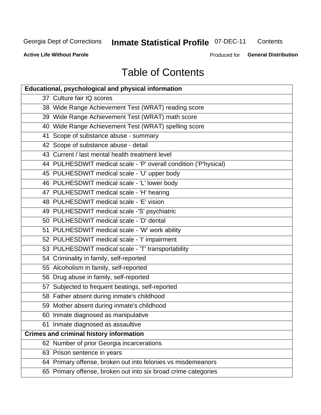## **Inmate Statistical Profile 07-DEC-11**

Contents

**Active Life Without Parole** 

Produced for General Distribution

## **Table of Contents**

| <b>Educational, psychological and physical information</b>       |
|------------------------------------------------------------------|
| 37 Culture fair IQ scores                                        |
| 38 Wide Range Achievement Test (WRAT) reading score              |
| 39 Wide Range Achievement Test (WRAT) math score                 |
| 40 Wide Range Achievement Test (WRAT) spelling score             |
| 41 Scope of substance abuse - summary                            |
| 42 Scope of substance abuse - detail                             |
| 43 Current / last mental health treatment level                  |
| 44 PULHESDWIT medical scale - 'P' overall condition ('P'hysical) |
| 45 PULHESDWIT medical scale - 'U' upper body                     |
| 46 PULHESDWIT medical scale - 'L' lower body                     |
| 47 PULHESDWIT medical scale - 'H' hearing                        |
| 48 PULHESDWIT medical scale - 'E' vision                         |
| 49 PULHESDWIT medical scale -'S' psychiatric                     |
| 50 PULHESDWIT medical scale - 'D' dental                         |
| 51 PULHESDWIT medical scale - 'W' work ability                   |
| 52 PULHESDWIT medical scale - 'I' impairment                     |
| 53 PULHESDWIT medical scale - 'T' transportability               |
| 54 Criminality in family, self-reported                          |
| 55 Alcoholism in family, self-reported                           |
| 56 Drug abuse in family, self-reported                           |
| 57 Subjected to frequent beatings, self-reported                 |
| 58 Father absent during inmate's childhood                       |
| 59 Mother absent during inmate's childhood                       |
| 60 Inmate diagnosed as manipulative                              |
| 61 Inmate diagnosed as assaultive                                |
| <b>Crimes and criminal history information</b>                   |
| 62 Number of prior Georgia incarcerations                        |
| 63 Prison sentence in years                                      |
| 64 Primary offense, broken out into felonies vs misdemeanors     |
| 65 Primary offense, broken out into six broad crime categories   |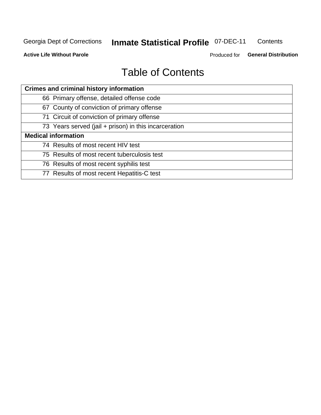## **Inmate Statistical Profile 07-DEC-11**

Contents

**Active Life Without Parole** 

Produced for General Distribution

## **Table of Contents**

| <b>Crimes and criminal history information</b>        |
|-------------------------------------------------------|
| 66 Primary offense, detailed offense code             |
| 67 County of conviction of primary offense            |
| 71 Circuit of conviction of primary offense           |
| 73 Years served (jail + prison) in this incarceration |
| <b>Medical information</b>                            |
| 74 Results of most recent HIV test                    |
| 75 Results of most recent tuberculosis test           |
| 76 Results of most recent syphilis test               |
| 77 Results of most recent Hepatitis-C test            |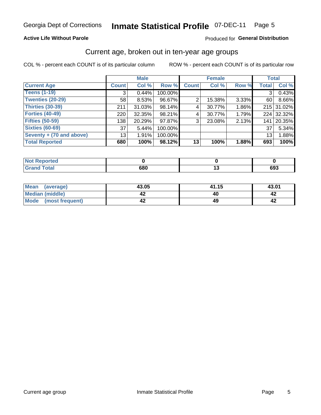#### **Inmate Statistical Profile 07-DEC-11** Page 5

#### **Active Life Without Parole**

#### Produced for General Distribution

#### Current age, broken out in ten-year age groups

COL % - percent each COUNT is of its particular column

|                          |                 | <b>Male</b> |         |              | <b>Female</b> |          | <b>Total</b>    |            |
|--------------------------|-----------------|-------------|---------|--------------|---------------|----------|-----------------|------------|
| <b>Current Age</b>       | <b>Count</b>    | Col %       | Row %   | <b>Count</b> | Col %         | Row %    | <b>Total</b>    | Col %      |
| <b>Teens (1-19)</b>      | 3               | 0.44%       | 100.00% |              |               |          | 3               | 0.43%      |
| <b>Twenties (20-29)</b>  | 58              | 8.53%       | 96.67%  | 2            | 15.38%        | $3.33\%$ | 60 l            | 8.66%      |
| Thirties (30-39)         | 211             | $31.03\%$   | 98.14%  | 4            | 30.77%        | 1.86%    |                 | 215 31.02% |
| <b>Forties (40-49)</b>   | 220             | $32.35\%$   | 98.21%  | 4            | 30.77%        | 1.79%    |                 | 224 32.32% |
| <b>Fifties (50-59)</b>   | 138             | 20.29%      | 97.87%  | 3            | 23.08%        | 2.13%    | 141             | 20.35%     |
| <b>Sixties (60-69)</b>   | 37              | 5.44%       | 100.00% |              |               |          | 37              | 5.34%      |
| Seventy + (70 and above) | 13 <sub>1</sub> | 1.91%       | 100.00% |              |               |          | 13 <sub>1</sub> | 1.88%      |
| <b>Total Reported</b>    | 680             | 100%        | 98.12%  | 13           | 100%          | 1.88%    | 693             | 100%       |

| <b>A. A. A.</b> |     |        |     |
|-----------------|-----|--------|-----|
| Coto!<br>_____  | 680 | $\sim$ | 693 |

| Mean<br>(average)      | 43.05 | 41.15 | 43.01 |
|------------------------|-------|-------|-------|
| <b>Median (middle)</b> |       |       |       |
| Mode (most frequent)   |       |       |       |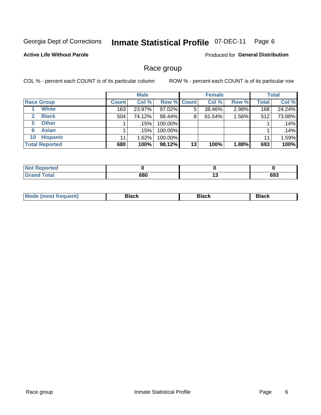#### **Inmate Statistical Profile 07-DEC-11** Page 6

#### **Active Life Without Parole**

**Produced for General Distribution** 

#### Race group

COL % - percent each COUNT is of its particular column

|                              |              | <b>Male</b> |                    |    | <b>Female</b> |       |              | <b>Total</b> |
|------------------------------|--------------|-------------|--------------------|----|---------------|-------|--------------|--------------|
| <b>Race Group</b>            | <b>Count</b> | Col %       | <b>Row % Count</b> |    | Col %         | Row % | <b>Total</b> | Col %        |
| <b>White</b>                 | 163          | 23.97%      | 97.02%             | 5  | 38.46%        | 2.98% | 168          | 24.24%       |
| <b>Black</b><br>$\mathbf{2}$ | 504          | 74.12%      | 98.44%             | 8  | 61.54%        | 1.56% | 512          | 73.88%       |
| <b>Other</b><br>5.           |              | .15%        | 100.00%            |    |               |       |              | .14%         |
| <b>Asian</b><br>6            |              | .15%        | 100.00%            |    |               |       |              | .14%         |
| <b>Hispanic</b><br>10        | 11           | 1.62%       | 100.00%            |    |               |       | 11           | 1.59%        |
| <b>Total Reported</b>        | 680          | 100%        | 98.12%             | 13 | 100%          | 1.88% | 693          | 100%         |

| rted        |     |     |     |
|-------------|-----|-----|-----|
| <b>otal</b> | 680 | . . | 693 |

| M | - - - | Piavn |
|---|-------|-------|
|   |       |       |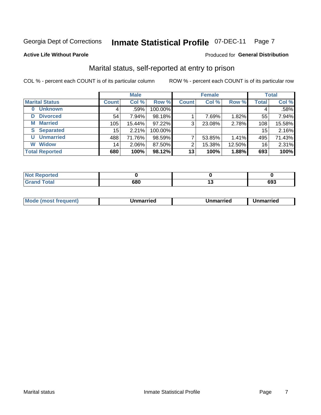#### **Inmate Statistical Profile 07-DEC-11** Page 7

#### **Active Life Without Parole**

#### Produced for General Distribution

### Marital status, self-reported at entry to prison

COL % - percent each COUNT is of its particular column

|                            |                 | <b>Male</b> |         |              | <b>Female</b> |        |              | <b>Total</b> |
|----------------------------|-----------------|-------------|---------|--------------|---------------|--------|--------------|--------------|
| <b>Marital Status</b>      | <b>Count</b>    | Col %       | Row %   | <b>Count</b> | Col %         | Row %  | <b>Total</b> | Col %        |
| <b>Unknown</b><br>$\bf{0}$ |                 | .59%        | 100.00% |              |               |        | 4            | .58%         |
| <b>Divorced</b><br>D       | 54              | $7.94\%$    | 98.18%  |              | 7.69%         | 1.82%  | 55           | 7.94%        |
| <b>Married</b><br>М        | 105             | 15.44%      | 97.22%  | 3            | 23.08%        | 2.78%  | 108          | 15.58%       |
| <b>Separated</b><br>S      | 15 <sub>1</sub> | 2.21%       | 100.00% |              |               |        | 15           | 2.16%        |
| <b>Unmarried</b><br>U      | 488             | 71.76%      | 98.59%  | ⇁            | 53.85%        | 1.41%  | 495          | 71.43%       |
| <b>Widow</b><br>W          | 14              | 2.06%       | 87.50%  | 2            | 15.38%        | 12.50% | 16           | 2.31%        |
| <b>Total Reported</b>      | 680             | 100%        | 98.12%  | 13           | 100%          | 1.88%  | 693          | 100%         |

| <b>Ported</b><br>' NOT<br>$\sim$          |     |     |     |
|-------------------------------------------|-----|-----|-----|
| T <sub>ofol</sub><br>. Grr<br><b>Oldi</b> | 680 | . . | 693 |

| <b>Mode</b><br><b>nost frequent)</b><br>Unmarried<br>a most | Unmarried | Unmarried |
|-------------------------------------------------------------|-----------|-----------|
|-------------------------------------------------------------|-----------|-----------|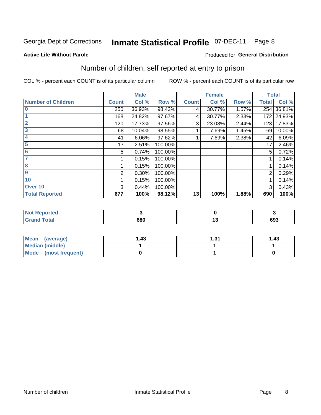#### **Inmate Statistical Profile 07-DEC-11** Page 8

#### **Active Life Without Parole**

#### **Produced for General Distribution**

### Number of children, self reported at entry to prison

COL % - percent each COUNT is of its particular column

|                           |              | <b>Male</b> |         |              | <b>Female</b> |       | <b>Total</b> |        |
|---------------------------|--------------|-------------|---------|--------------|---------------|-------|--------------|--------|
| <b>Number of Children</b> | <b>Count</b> | Col %       | Row %   | <b>Count</b> | Col %         | Row % | <b>Total</b> | Col %  |
| $\bf{0}$                  | 250          | 36.93%      | 98.43%  | 4            | 30.77%        | 1.57% | 254          | 36.81% |
|                           | 168          | 24.82%      | 97.67%  | 4            | 30.77%        | 2.33% | 172          | 24.93% |
| $\overline{2}$            | 120          | 17.73%      | 97.56%  | 3            | 23.08%        | 2.44% | 123          | 17.83% |
| 3                         | 68           | 10.04%      | 98.55%  |              | 7.69%         | 1.45% | 69           | 10.00% |
| 4                         | 41           | 6.06%       | 97.62%  |              | 7.69%         | 2.38% | 42           | 6.09%  |
| 5                         | 17           | 2.51%       | 100.00% |              |               |       | 17           | 2.46%  |
| 6                         | 5            | 0.74%       | 100.00% |              |               |       | 5            | 0.72%  |
| 7                         |              | 0.15%       | 100.00% |              |               |       |              | 0.14%  |
| 8                         |              | 0.15%       | 100.00% |              |               |       |              | 0.14%  |
| $\boldsymbol{9}$          | 2            | 0.30%       | 100.00% |              |               |       | 2            | 0.29%  |
| 10                        |              | 0.15%       | 100.00% |              |               |       |              | 0.14%  |
| Over 10                   | 3            | 0.44%       | 100.00% |              |               |       | 3            | 0.43%  |
| <b>Total Reported</b>     | 677          | 100%        | 98.12%  | 13           | 100%          | 1.88% | 690          | 100%   |

| rreo<br>w                               |     |     |
|-----------------------------------------|-----|-----|
| $f \wedge f \wedge f$<br>υιαι<br>$\sim$ | 680 | 693 |

| Mean<br>(average)       | l.43 | ∣.31 | 1.43 |
|-------------------------|------|------|------|
| Median (middle)         |      |      |      |
| Mode<br>(most frequent) |      |      |      |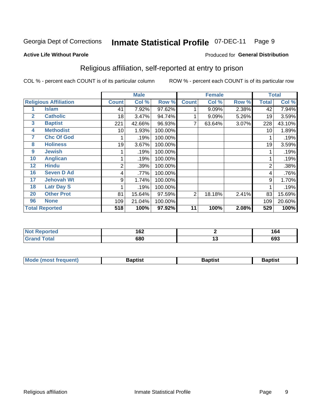#### **Inmate Statistical Profile 07-DEC-11** Page 9

Produced for General Distribution

#### **Active Life Without Parole**

### Religious affiliation, self-reported at entry to prison

COL % - percent each COUNT is of its particular column

|              |                              |                | <b>Male</b> |         |              | <b>Female</b> |       |                | <b>Total</b> |
|--------------|------------------------------|----------------|-------------|---------|--------------|---------------|-------|----------------|--------------|
|              | <b>Religious Affiliation</b> | <b>Count</b>   | Col %       | Row %   | <b>Count</b> | Col %         | Row % | <b>Total</b>   | Col %        |
|              | Islam                        | 41             | 7.92%       | 97.62%  |              | 9.09%         | 2.38% | 42             | 7.94%        |
| $\mathbf{2}$ | <b>Catholic</b>              | 18             | 3.47%       | 94.74%  |              | 9.09%         | 5.26% | 19             | 3.59%        |
| 3            | <b>Baptist</b>               | 221            | 42.66%      | 96.93%  | 7            | 63.64%        | 3.07% | 228            | 43.10%       |
| 4            | <b>Methodist</b>             | 10             | 1.93%       | 100.00% |              |               |       | 10             | 1.89%        |
| 7            | <b>Chc Of God</b>            |                | .19%        | 100.00% |              |               |       |                | .19%         |
| 8            | <b>Holiness</b>              | 19             | 3.67%       | 100.00% |              |               |       | 19             | 3.59%        |
| 9            | <b>Jewish</b>                |                | .19%        | 100.00% |              |               |       |                | .19%         |
| 10           | <b>Anglican</b>              |                | .19%        | 100.00% |              |               |       |                | .19%         |
| 12           | <b>Hindu</b>                 | $\overline{2}$ | .39%        | 100.00% |              |               |       | $\overline{2}$ | .38%         |
| 16           | <b>Seven D Ad</b>            | 4              | .77%        | 100.00% |              |               |       | 4              | .76%         |
| 17           | <b>Jehovah Wt</b>            | 9              | 1.74%       | 100.00% |              |               |       | 9              | 1.70%        |
| 18           | <b>Latr Day S</b>            |                | .19%        | 100.00% |              |               |       |                | .19%         |
| 20           | <b>Other Prot</b>            | 81             | 15.64%      | 97.59%  | 2            | 18.18%        | 2.41% | 83             | 15.69%       |
| 96           | <b>None</b>                  | 109            | 21.04%      | 100.00% |              |               |       | 109            | 20.60%       |
|              | <b>Total Reported</b>        | 518            | 100%        | 97.92%  | 11           | 100%          | 2.08% | 529            | 100%         |

| . Reported<br>$\sim$ | 167<br>I VZ |    | 164 |
|----------------------|-------------|----|-----|
| $int^{\bullet}$      | 680         | ., | 693 |

| <b>Mode (most frequent)</b> | 3aptist | Baptist | Baptist |
|-----------------------------|---------|---------|---------|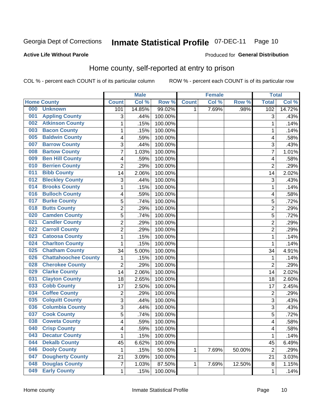#### **Inmate Statistical Profile 07-DEC-11** Page 10

#### **Active Life Without Parole**

#### Produced for General Distribution

### Home county, self-reported at entry to prison

COL % - percent each COUNT is of its particular column

|     |                             |                | <b>Male</b> |         |              | <b>Female</b> |        | <b>Total</b>   |        |
|-----|-----------------------------|----------------|-------------|---------|--------------|---------------|--------|----------------|--------|
|     | <b>Home County</b>          | <b>Count</b>   | Col %       | Row %   | <b>Count</b> | Col %         | Row %  | <b>Total</b>   | Col %  |
| 000 | <b>Unknown</b>              | 101            | 14.85%      | 99.02%  | 1            | 7.69%         | .98%   | 102            | 14.72% |
| 001 | <b>Appling County</b>       | 3              | .44%        | 100.00% |              |               |        | 3              | .43%   |
| 002 | <b>Atkinson County</b>      | $\mathbf 1$    | .15%        | 100.00% |              |               |        | 1              | .14%   |
| 003 | <b>Bacon County</b>         | 1              | .15%        | 100.00% |              |               |        | 1              | .14%   |
| 005 | <b>Baldwin County</b>       | 4              | .59%        | 100.00% |              |               |        | 4              | .58%   |
| 007 | <b>Barrow County</b>        | 3              | .44%        | 100.00% |              |               |        | 3              | .43%   |
| 008 | <b>Bartow County</b>        | $\overline{7}$ | 1.03%       | 100.00% |              |               |        | 7              | 1.01%  |
| 009 | <b>Ben Hill County</b>      | 4              | .59%        | 100.00% |              |               |        | 4              | .58%   |
| 010 | <b>Berrien County</b>       | $\overline{2}$ | .29%        | 100.00% |              |               |        | $\overline{2}$ | .29%   |
| 011 | <b>Bibb County</b>          | 14             | 2.06%       | 100.00% |              |               |        | 14             | 2.02%  |
| 012 | <b>Bleckley County</b>      | 3              | .44%        | 100.00% |              |               |        | 3              | .43%   |
| 014 | <b>Brooks County</b>        | 1              | .15%        | 100.00% |              |               |        | 1              | .14%   |
| 016 | <b>Bulloch County</b>       | 4              | .59%        | 100.00% |              |               |        | 4              | .58%   |
| 017 | <b>Burke County</b>         | 5              | .74%        | 100.00% |              |               |        | 5              | .72%   |
| 018 | <b>Butts County</b>         | $\overline{2}$ | .29%        | 100.00% |              |               |        | $\overline{2}$ | .29%   |
| 020 | <b>Camden County</b>        | 5              | .74%        | 100.00% |              |               |        | 5              | .72%   |
| 021 | <b>Candler County</b>       | $\overline{2}$ | .29%        | 100.00% |              |               |        | $\overline{2}$ | .29%   |
| 022 | <b>Carroll County</b>       | $\overline{c}$ | .29%        | 100.00% |              |               |        | $\overline{2}$ | .29%   |
| 023 | <b>Catoosa County</b>       | $\mathbf 1$    | .15%        | 100.00% |              |               |        | 1              | .14%   |
| 024 | <b>Charlton County</b>      | 1              | .15%        | 100.00% |              |               |        | 1              | .14%   |
| 025 | <b>Chatham County</b>       | 34             | 5.00%       | 100.00% |              |               |        | 34             | 4.91%  |
| 026 | <b>Chattahoochee County</b> | 1              | .15%        | 100.00% |              |               |        | 1              | .14%   |
| 028 | <b>Cherokee County</b>      | $\overline{2}$ | .29%        | 100.00% |              |               |        | $\overline{2}$ | .29%   |
| 029 | <b>Clarke County</b>        | 14             | 2.06%       | 100.00% |              |               |        | 14             | 2.02%  |
| 031 | <b>Clayton County</b>       | 18             | 2.65%       | 100.00% |              |               |        | 18             | 2.60%  |
| 033 | <b>Cobb County</b>          | 17             | 2.50%       | 100.00% |              |               |        | 17             | 2.45%  |
| 034 | <b>Coffee County</b>        | $\overline{2}$ | .29%        | 100.00% |              |               |        | $\overline{2}$ | .29%   |
| 035 | <b>Colquitt County</b>      | 3              | .44%        | 100.00% |              |               |        | 3              | .43%   |
| 036 | <b>Columbia County</b>      | 3              | .44%        | 100.00% |              |               |        | 3              | .43%   |
| 037 | <b>Cook County</b>          | 5              | .74%        | 100.00% |              |               |        | 5              | .72%   |
| 038 | <b>Coweta County</b>        | 4              | .59%        | 100.00% |              |               |        | 4              | .58%   |
| 040 | <b>Crisp County</b>         | 4              | .59%        | 100.00% |              |               |        | 4              | .58%   |
| 043 | <b>Decatur County</b>       | $\mathbf 1$    | .15%        | 100.00% |              |               |        | 1              | .14%   |
| 044 | <b>Dekalb County</b>        | 45             | 6.62%       | 100.00% |              |               |        | 45             | 6.49%  |
| 046 | <b>Dooly County</b>         | $\mathbf 1$    | .15%        | 50.00%  | 1            | 7.69%         | 50.00% | $\overline{2}$ | .29%   |
| 047 | <b>Dougherty County</b>     | 21             | 3.09%       | 100.00% |              |               |        | 21             | 3.03%  |
| 048 | <b>Douglas County</b>       | $\overline{7}$ | 1.03%       | 87.50%  | 1            | 7.69%         | 12.50% | 8              | 1.15%  |
| 049 | <b>Early County</b>         | $\mathbf{1}$   | .15%        | 100.00% |              |               |        | 1              | .14%   |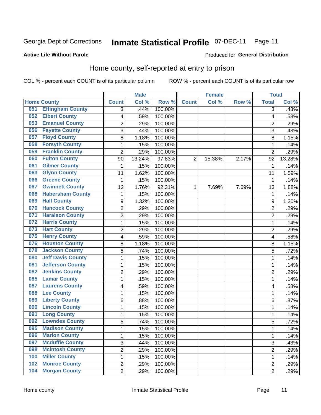#### **Inmate Statistical Profile 07-DEC-11** Page 11

## Produced for General Distribution

#### **Active Life Without Parole**

### Home county, self-reported at entry to prison

COL % - percent each COUNT is of its particular column

|     |                          |                         | <b>Male</b> |         |                | <b>Female</b> |       | <b>Total</b>   |        |
|-----|--------------------------|-------------------------|-------------|---------|----------------|---------------|-------|----------------|--------|
|     | <b>Home County</b>       | <b>Count</b>            | Col %       | Row %   | <b>Count</b>   | Col%          | Row % | <b>Total</b>   | Col %  |
| 051 | <b>Effingham County</b>  | 3                       | .44%        | 100.00% |                |               |       | 3              | .43%   |
| 052 | <b>Elbert County</b>     | $\overline{\mathbf{4}}$ | .59%        | 100.00% |                |               |       | 4              | .58%   |
| 053 | <b>Emanuel County</b>    | $\overline{c}$          | .29%        | 100.00% |                |               |       | $\overline{c}$ | .29%   |
| 056 | <b>Fayette County</b>    | 3                       | .44%        | 100.00% |                |               |       | 3              | .43%   |
| 057 | <b>Floyd County</b>      | 8                       | 1.18%       | 100.00% |                |               |       | 8              | 1.15%  |
| 058 | <b>Forsyth County</b>    | $\mathbf{1}$            | .15%        | 100.00% |                |               |       | 1              | .14%   |
| 059 | <b>Franklin County</b>   | $\overline{2}$          | .29%        | 100.00% |                |               |       | $\overline{2}$ | .29%   |
| 060 | <b>Fulton County</b>     | 90                      | 13.24%      | 97.83%  | $\overline{2}$ | 15.38%        | 2.17% | 92             | 13.28% |
| 061 | <b>Gilmer County</b>     | 1                       | .15%        | 100.00% |                |               |       | 1              | .14%   |
| 063 | <b>Glynn County</b>      | 11                      | 1.62%       | 100.00% |                |               |       | 11             | 1.59%  |
| 066 | <b>Greene County</b>     | 1                       | .15%        | 100.00% |                |               |       | 1              | .14%   |
| 067 | <b>Gwinnett County</b>   | 12                      | 1.76%       | 92.31%  | 1              | 7.69%         | 7.69% | 13             | 1.88%  |
| 068 | <b>Habersham County</b>  | $\mathbf{1}$            | .15%        | 100.00% |                |               |       | 1              | .14%   |
| 069 | <b>Hall County</b>       | 9                       | 1.32%       | 100.00% |                |               |       | 9              | 1.30%  |
| 070 | <b>Hancock County</b>    | $\overline{2}$          | .29%        | 100.00% |                |               |       | $\overline{2}$ | .29%   |
| 071 | <b>Haralson County</b>   | $\overline{2}$          | .29%        | 100.00% |                |               |       | $\overline{2}$ | .29%   |
| 072 | <b>Harris County</b>     | $\mathbf{1}$            | .15%        | 100.00% |                |               |       | 1              | .14%   |
| 073 | <b>Hart County</b>       | $\overline{2}$          | .29%        | 100.00% |                |               |       | $\overline{2}$ | .29%   |
| 075 | <b>Henry County</b>      | $\overline{\mathbf{4}}$ | .59%        | 100.00% |                |               |       | 4              | .58%   |
| 076 | <b>Houston County</b>    | $\bf 8$                 | 1.18%       | 100.00% |                |               |       | 8              | 1.15%  |
| 078 | <b>Jackson County</b>    | 5                       | .74%        | 100.00% |                |               |       | 5              | .72%   |
| 080 | <b>Jeff Davis County</b> | $\mathbf{1}$            | .15%        | 100.00% |                |               |       | 1              | .14%   |
| 081 | <b>Jefferson County</b>  | $\mathbf{1}$            | .15%        | 100.00% |                |               |       | 1              | .14%   |
| 082 | <b>Jenkins County</b>    | $\overline{2}$          | .29%        | 100.00% |                |               |       | $\overline{2}$ | .29%   |
| 085 | <b>Lamar County</b>      | $\mathbf{1}$            | .15%        | 100.00% |                |               |       | 1              | .14%   |
| 087 | <b>Laurens County</b>    | $\overline{\mathbf{4}}$ | .59%        | 100.00% |                |               |       | 4              | .58%   |
| 088 | <b>Lee County</b>        | $\mathbf{1}$            | .15%        | 100.00% |                |               |       | 1              | .14%   |
| 089 | <b>Liberty County</b>    | 6                       | .88%        | 100.00% |                |               |       | 6              | .87%   |
| 090 | <b>Lincoln County</b>    | $\mathbf{1}$            | .15%        | 100.00% |                |               |       | 1              | .14%   |
| 091 | <b>Long County</b>       | $\mathbf{1}$            | .15%        | 100.00% |                |               |       | 1              | .14%   |
| 092 | <b>Lowndes County</b>    | 5                       | .74%        | 100.00% |                |               |       | 5              | .72%   |
| 095 | <b>Madison County</b>    | 1                       | .15%        | 100.00% |                |               |       | 1              | .14%   |
| 096 | <b>Marion County</b>     | $\mathbf 1$             | .15%        | 100.00% |                |               |       | $\mathbf{1}$   | .14%   |
| 097 | <b>Mcduffie County</b>   | $\mathbf{3}$            | .44%        | 100.00% |                |               |       | 3              | .43%   |
| 098 | <b>Mcintosh County</b>   | $\overline{2}$          | .29%        | 100.00% |                |               |       | $\overline{2}$ | .29%   |
| 100 | <b>Miller County</b>     | $\mathbf 1$             | .15%        | 100.00% |                |               |       | 1              | .14%   |
| 102 | <b>Monroe County</b>     | $\overline{2}$          | .29%        | 100.00% |                |               |       | 2              | .29%   |
| 104 | <b>Morgan County</b>     | $\overline{2}$          | .29%        | 100.00% |                |               |       | $\overline{2}$ | .29%   |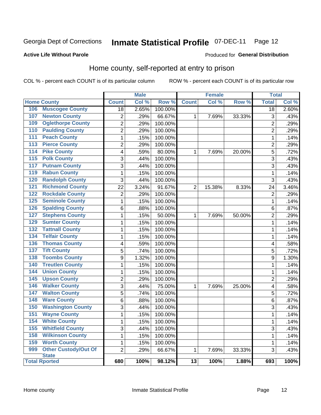## Inmate Statistical Profile 07-DEC-11 Page 12

#### **Active Life Without Parole**

#### Produced for General Distribution

### Home county, self-reported at entry to prison

COL % - percent each COUNT is of its particular column

|                  |                                      |                 | <b>Male</b> |         |                 | <b>Female</b> |        | <b>Total</b>    |       |
|------------------|--------------------------------------|-----------------|-------------|---------|-----------------|---------------|--------|-----------------|-------|
|                  | <b>Home County</b>                   | <b>Count</b>    | Col %       | Row %   | <b>Count</b>    | Col %         | Row %  | <b>Total</b>    | Col % |
| 106              | <b>Muscogee County</b>               | $\overline{18}$ | 2.65%       | 100.00% |                 |               |        | $\overline{18}$ | 2.60% |
| 107              | <b>Newton County</b>                 | $\overline{2}$  | .29%        | 66.67%  | 1               | 7.69%         | 33.33% | 3               | .43%  |
| 109              | <b>Oglethorpe County</b>             | $\overline{2}$  | .29%        | 100.00% |                 |               |        | $\overline{2}$  | .29%  |
| 110              | <b>Paulding County</b>               | $\overline{2}$  | .29%        | 100.00% |                 |               |        | $\overline{2}$  | .29%  |
| 111              | <b>Peach County</b>                  | $\mathbf{1}$    | .15%        | 100.00% |                 |               |        | 1               | .14%  |
| 113              | <b>Pierce County</b>                 | $\overline{2}$  | .29%        | 100.00% |                 |               |        | $\overline{2}$  | .29%  |
| 114              | <b>Pike County</b>                   | 4               | .59%        | 80.00%  | 1               | 7.69%         | 20.00% | 5               | .72%  |
| 115              | <b>Polk County</b>                   | $\overline{3}$  | .44%        | 100.00% |                 |               |        | 3               | .43%  |
| 117              | <b>Putnam County</b>                 | $\overline{3}$  | .44%        | 100.00% |                 |               |        | 3               | .43%  |
| 119              | <b>Rabun County</b>                  | $\mathbf{1}$    | .15%        | 100.00% |                 |               |        | $\mathbf 1$     | .14%  |
| 120              | <b>Randolph County</b>               | 3               | .44%        | 100.00% |                 |               |        | 3               | .43%  |
| $\overline{121}$ | <b>Richmond County</b>               | 22              | 3.24%       | 91.67%  | $\overline{2}$  | 15.38%        | 8.33%  | 24              | 3.46% |
| 122              | <b>Rockdale County</b>               | $\overline{2}$  | .29%        | 100.00% |                 |               |        | $\overline{2}$  | .29%  |
| 125              | <b>Seminole County</b>               | $\mathbf{1}$    | .15%        | 100.00% |                 |               |        | $\mathbf 1$     | .14%  |
| $\overline{126}$ | <b>Spalding County</b>               | 6               | .88%        | 100.00% |                 |               |        | 6               | .87%  |
| 127              | <b>Stephens County</b>               | $\mathbf{1}$    | .15%        | 50.00%  | 1               | 7.69%         | 50.00% | $\overline{2}$  | .29%  |
| 129              | <b>Sumter County</b>                 | $\mathbf 1$     | .15%        | 100.00% |                 |               |        | 1               | .14%  |
| 132              | <b>Tattnall County</b>               | $\mathbf{1}$    | .15%        | 100.00% |                 |               |        | 1               | .14%  |
| 134              | <b>Telfair County</b>                | $\mathbf 1$     | .15%        | 100.00% |                 |               |        | 1               | .14%  |
| 136              | <b>Thomas County</b>                 | 4               | .59%        | 100.00% |                 |               |        | 4               | .58%  |
| 137              | <b>Tift County</b>                   | 5               | .74%        | 100.00% |                 |               |        | 5               | .72%  |
| 138              | <b>Toombs County</b>                 | 9               | 1.32%       | 100.00% |                 |               |        | 9               | 1.30% |
| 140              | <b>Treutlen County</b>               | $\mathbf{1}$    | .15%        | 100.00% |                 |               |        | 1               | .14%  |
| 144              | <b>Union County</b>                  | 1               | .15%        | 100.00% |                 |               |        | 1               | .14%  |
| 145              | <b>Upson County</b>                  | $\overline{c}$  | .29%        | 100.00% |                 |               |        | $\overline{c}$  | .29%  |
| 146              | <b>Walker County</b>                 | $\overline{3}$  | .44%        | 75.00%  | 1               | 7.69%         | 25.00% | 4               | .58%  |
| 147              | <b>Walton County</b>                 | $\overline{5}$  | .74%        | 100.00% |                 |               |        | 5               | .72%  |
| 148              | <b>Ware County</b>                   | $\overline{6}$  | .88%        | 100.00% |                 |               |        | 6               | .87%  |
| 150              | <b>Washington County</b>             | $\overline{3}$  | .44%        | 100.00% |                 |               |        | 3               | .43%  |
| 151              | <b>Wayne County</b>                  | $\mathbf{1}$    | .15%        | 100.00% |                 |               |        | 1               | .14%  |
| 154              | <b>White County</b>                  | $\mathbf{1}$    | .15%        | 100.00% |                 |               |        | 1               | .14%  |
| 155              | <b>Whitfield County</b>              | 3               | .44%        | 100.00% |                 |               |        | 3               | .43%  |
| 158              | <b>Wilkinson County</b>              | $\mathbf{1}$    | .15%        | 100.00% |                 |               |        | 1               | .14%  |
| 159              | <b>Worth County</b>                  | $\mathbf{1}$    | .15%        | 100.00% |                 |               |        | 1               | .14%  |
| 999              | <b>Other Custody/Out Of</b>          | $\overline{2}$  | .29%        | 66.67%  | $\mathbf{1}$    | 7.69%         | 33.33% | 3               | .43%  |
|                  | <b>State</b><br><b>Total Rported</b> | 680             | 100%        | 98.12%  | $\overline{13}$ | 100%          | 1.88%  | 693             | 100%  |
|                  |                                      |                 |             |         |                 |               |        |                 |       |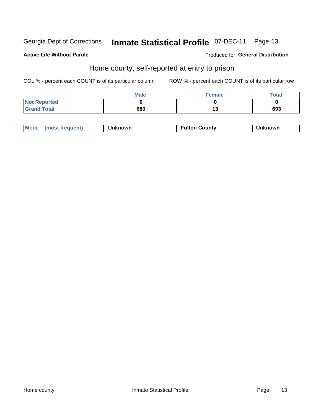#### **Inmate Statistical Profile 07-DEC-11** Page 13

#### **Active Life Without Parole**

#### Produced for General Distribution

### Home county, self-reported at entry to prison

COL % - percent each COUNT is of its particular column

|                     | <b>Male</b> | <b>Female</b> | <b>Total</b> |
|---------------------|-------------|---------------|--------------|
| <b>Not Reported</b> |             |               |              |
| <b>Grand Total</b>  | 680         | יי            | 693          |

| Mode<br>(most frequent) | Unknown | Fulton Countv | Unknown |
|-------------------------|---------|---------------|---------|
|-------------------------|---------|---------------|---------|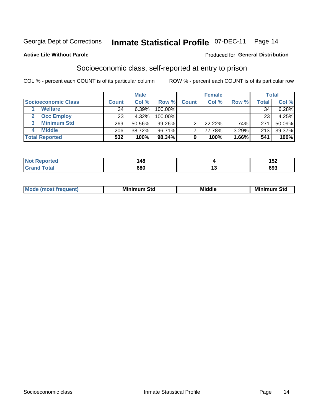## Inmate Statistical Profile 07-DEC-11 Page 14

#### **Active Life Without Parole**

#### Produced for General Distribution

### Socioeconomic class, self-reported at entry to prison

COL % - percent each COUNT is of its particular column

|                         | <b>Male</b><br><b>Female</b> |        |            |              | <b>Total</b> |       |       |        |
|-------------------------|------------------------------|--------|------------|--------------|--------------|-------|-------|--------|
| Socioeconomic Class     | <b>Count</b>                 | Col %  | Row %      | <b>Count</b> | Col %        | Row % | Total | Col %  |
| <b>Welfare</b>          | 34                           | 6.39%  | 100.00%    |              |              |       | 34    | 6.28%  |
| <b>Occ Employ</b>       | 23                           | 4.32%  | $100.00\%$ |              |              |       | 23    | 4.25%  |
| <b>Minimum Std</b><br>3 | 269                          | 50.56% | $99.26\%$  |              | 22.22%       | .74%  | 271   | 50.09% |
| <b>Middle</b>           | 206                          | 38.72% | 96.71%     |              | 77.78%       | 3.29% | 213   | 39.37% |
| <b>Total Reported</b>   | 532                          | 100%   | 98.34%     | 9            | 100%         | 1.66% | 541   | 100%   |

| N | $\overline{A}$<br>70 |        | 100<br>◡▴<br>___ |
|---|----------------------|--------|------------------|
|   | 680                  | $\sim$ | con<br>ხყა       |

|  | Mo | Minin<br>Std<br>$- - - -$ | <b>Middle</b> | Min<br>Std<br>. |
|--|----|---------------------------|---------------|-----------------|
|--|----|---------------------------|---------------|-----------------|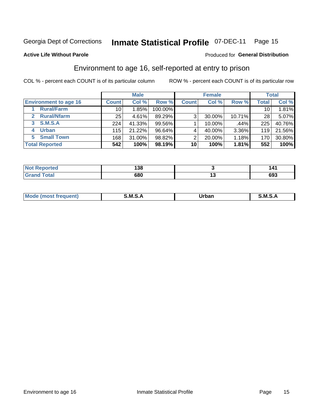## Inmate Statistical Profile 07-DEC-11 Page 15

**Active Life Without Parole** 

#### Produced for General Distribution

### Environment to age 16, self-reported at entry to prison

COL % - percent each COUNT is of its particular column

|                                    |              | <b>Male</b> |           |              | <b>Female</b> |        |                 | <b>Total</b> |
|------------------------------------|--------------|-------------|-----------|--------------|---------------|--------|-----------------|--------------|
| <b>Environment to age 16</b>       | <b>Count</b> | Col %       | Row %     | <b>Count</b> | Col %         | Row %  | <b>Total</b>    | Col %        |
| <b>Rural/Farm</b>                  | 10           | 1.85%       | 100.00%   |              |               |        | 10 <sub>1</sub> | 1.81%        |
| <b>Rural/Nfarm</b><br>$\mathbf{2}$ | 25           | 4.61%       | 89.29%    | 3            | 30.00%        | 10.71% | 28              | 5.07%        |
| S.M.S.A<br>3                       | 224          | 41.33%      | 99.56%    |              | 10.00%        | .44%   | 225             | 40.76%       |
| <b>Urban</b><br>4                  | 115          | 21.22%      | $96.64\%$ |              | 40.00%        | 3.36%  | 119             | 21.56%       |
| 5 Small Town                       | 168          | 31.00%      | 98.82%    | っ            | 20.00%        | 1.18%  | 170             | 30.80%       |
| <b>Total Reported</b>              | 542          | 100%        | 98.19%    | 10           | 100%          | 1.81%  | 552             | 100%         |

| <b>Not</b><br>المراجع والمتعارف<br>prtea<br>$\sim$ | 138 |    |     |
|----------------------------------------------------|-----|----|-----|
| $T \cap f \cap f$                                  | 680 | יי | ႦႸჂ |

| Mo | M | lulaam<br>Ua.<br>_____ | M |
|----|---|------------------------|---|
|    |   |                        |   |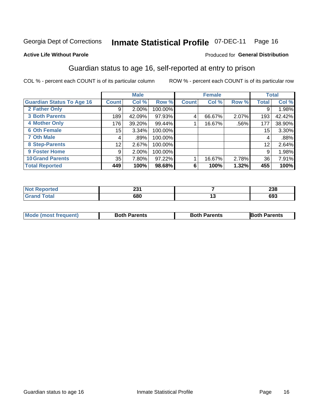## Inmate Statistical Profile 07-DEC-11 Page 16

#### **Active Life Without Parole**

#### Produced for General Distribution

### Guardian status to age 16, self-reported at entry to prison

COL % - percent each COUNT is of its particular column

|                                  |                 | <b>Male</b> |         |              | <b>Female</b> |         |              | <b>Total</b> |
|----------------------------------|-----------------|-------------|---------|--------------|---------------|---------|--------------|--------------|
| <b>Guardian Status To Age 16</b> | <b>Count</b>    | Col %       | Row %   | <b>Count</b> | Col %         | Row %   | <b>Total</b> | Col %        |
| 2 Father Only                    | 9               | 2.00%       | 100.00% |              |               |         | 9            | 1.98%        |
| <b>3 Both Parents</b>            | 189             | 42.09%      | 97.93%  | 4            | 66.67%        | 2.07%   | 193          | 42.42%       |
| <b>4 Mother Only</b>             | 176             | 39.20%      | 99.44%  |              | 16.67%        | $.56\%$ | 177          | 38.90%       |
| <b>6 Oth Female</b>              | 15 <sub>1</sub> | 3.34%       | 100.00% |              |               |         | 15           | 3.30%        |
| <b>7 Oth Male</b>                | 4               | .89%        | 100.00% |              |               |         | 4            | .88%         |
| 8 Step-Parents                   | 12              | 2.67%       | 100.00% |              |               |         | 12           | 2.64%        |
| 9 Foster Home                    | 9               | 2.00%       | 100.00% |              |               |         | 9            | 1.98%        |
| <b>10 Grand Parents</b>          | 35              | 7.80%       | 97.22%  |              | 16.67%        | 2.78%   | 36           | 7.91%        |
| <b>Total Reported</b>            | 449             | 100%        | 98.68%  | 6            | 100%          | 1.32%   | 455          | 100%         |

| Reported | ິ    | つつの |
|----------|------|-----|
| NOT.     | LJ I | 230 |
| Total    | 680  | 693 |

| <b>Mode (most frequent)</b> | <b>Both Parents</b> | <b>Both Parents</b> | <b>Both Parents</b> |
|-----------------------------|---------------------|---------------------|---------------------|
|                             |                     |                     |                     |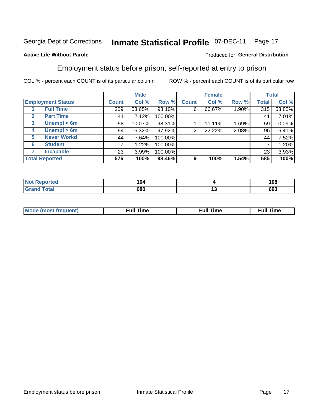#### **Inmate Statistical Profile 07-DEC-11** Page 17

#### **Active Life Without Parole**

#### Produced for General Distribution

### Employment status before prison, self-reported at entry to prison

COL % - percent each COUNT is of its particular column

|                          |              | <b>Male</b> |         |              | <b>Female</b> |       |       | <b>Total</b> |
|--------------------------|--------------|-------------|---------|--------------|---------------|-------|-------|--------------|
| <b>Employment Status</b> | <b>Count</b> | Col %       | Row %   | <b>Count</b> | Col %         | Row % | Total | Col %        |
| <b>Full Time</b>         | 309          | 53.65%      | 98.10%  | 6            | 66.67%        | 1.90% | 315   | 53.85%       |
| <b>Part Time</b><br>2    | 41           | 7.12%       | 100.00% |              |               |       | 41    | 7.01%        |
| Unempl $<$ 6m<br>3       | 58           | 10.07%      | 98.31%  |              | 11.11%        | 1.69% | 59    | 10.09%       |
| Unempl $> 6m$<br>4       | 94           | 16.32%      | 97.92%  | 2            | 22.22%        | 2.08% | 96    | 16.41%       |
| <b>Never Workd</b><br>5  | 44           | 7.64%       | 100.00% |              |               |       | 44    | 7.52%        |
| <b>Student</b><br>6      |              | 1.22%       | 100.00% |              |               |       |       | 1.20%        |
| <b>Incapable</b>         | 23           | 3.99%       | 100.00% |              |               |       | 23    | 3.93%        |
| <b>Total Reported</b>    | 576          | 100%        | 98.46%  | 9            | 100%          | 1.54% | 585   | 100%         |

| тес | 104<br>$ -$ | 108     |
|-----|-------------|---------|
|     | 680         | <br>693 |

| Mc | ∙u∥<br>----<br>ıme | ίuΙ<br>Πmε |
|----|--------------------|------------|
|    |                    |            |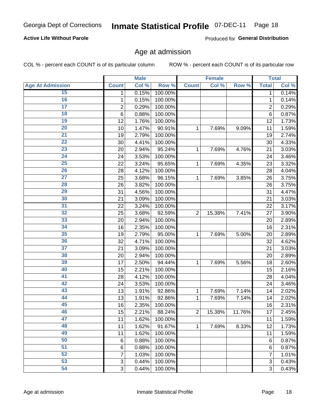## Inmate Statistical Profile 07-DEC-11 Page 18

#### **Active Life Without Parole**

Produced for General Distribution

#### Age at admission

COL % - percent each COUNT is of its particular column

|                         |                 | <b>Male</b> |         |                | <b>Female</b> |        |                | <b>Total</b> |
|-------------------------|-----------------|-------------|---------|----------------|---------------|--------|----------------|--------------|
| <b>Age At Admission</b> | <b>Count</b>    | Col %       | Row %   | <b>Count</b>   | Col %         | Row %  | <b>Total</b>   | Col %        |
| 15                      | 1               | 0.15%       | 100.00% |                |               |        | 1              | 0.14%        |
| 16                      | 1               | 0.15%       | 100.00% |                |               |        | 1              | 0.14%        |
| $\overline{17}$         | 2               | 0.29%       | 100.00% |                |               |        | $\overline{2}$ | 0.29%        |
| 18                      | $6\phantom{1}6$ | 0.88%       | 100.00% |                |               |        | 6              | 0.87%        |
| 19                      | 12              | 1.76%       | 100.00% |                |               |        | 12             | 1.73%        |
| $\overline{20}$         | 10              | 1.47%       | 90.91%  | 1              | 7.69%         | 9.09%  | 11             | 1.59%        |
| 21                      | 19              | 2.79%       | 100.00% |                |               |        | 19             | 2.74%        |
| 22                      | 30              | 4.41%       | 100.00% |                |               |        | 30             | 4.33%        |
| 23                      | 20              | 2.94%       | 95.24%  | 1              | 7.69%         | 4.76%  | 21             | 3.03%        |
| 24                      | 24              | 3.53%       | 100.00% |                |               |        | 24             | 3.46%        |
| $\overline{25}$         | 22              | 3.24%       | 95.65%  | 1              | 7.69%         | 4.35%  | 23             | 3.32%        |
| 26                      | 28              | 4.12%       | 100.00% |                |               |        | 28             | 4.04%        |
| $\overline{27}$         | 25              | 3.68%       | 96.15%  | 1              | 7.69%         | 3.85%  | 26             | 3.75%        |
| 28                      | 26              | 3.82%       | 100.00% |                |               |        | 26             | 3.75%        |
| 29                      | 31              | 4.56%       | 100.00% |                |               |        | 31             | 4.47%        |
| 30                      | 21              | 3.09%       | 100.00% |                |               |        | 21             | 3.03%        |
| 31                      | 22              | 3.24%       | 100.00% |                |               |        | 22             | 3.17%        |
| 32                      | 25              | 3.68%       | 92.59%  | $\overline{2}$ | 15.38%        | 7.41%  | 27             | 3.90%        |
| 33                      | 20              | 2.94%       | 100.00% |                |               |        | 20             | 2.89%        |
| 34                      | 16              | 2.35%       | 100.00% |                |               |        | 16             | 2.31%        |
| 35                      | 19              | 2.79%       | 95.00%  | 1              | 7.69%         | 5.00%  | 20             | 2.89%        |
| 36                      | 32              | 4.71%       | 100.00% |                |               |        | 32             | 4.62%        |
| $\overline{37}$         | 21              | 3.09%       | 100.00% |                |               |        | 21             | 3.03%        |
| 38                      | 20              | 2.94%       | 100.00% |                |               |        | 20             | 2.89%        |
| 39                      | 17              | 2.50%       | 94.44%  | 1              | 7.69%         | 5.56%  | 18             | 2.60%        |
| 40                      | 15              | 2.21%       | 100.00% |                |               |        | 15             | 2.16%        |
| 41                      | 28              | 4.12%       | 100.00% |                |               |        | 28             | 4.04%        |
| 42                      | 24              | 3.53%       | 100.00% |                |               |        | 24             | 3.46%        |
| 43                      | 13              | 1.91%       | 92.86%  | 1              | 7.69%         | 7.14%  | 14             | 2.02%        |
| 44                      | 13              | 1.91%       | 92.86%  | 1              | 7.69%         | 7.14%  | 14             | 2.02%        |
| 45                      | 16              | 2.35%       | 100.00% |                |               |        | 16             | 2.31%        |
| 46                      | 15              | 2.21%       | 88.24%  | $\overline{2}$ | 15.38%        | 11.76% | 17             | 2.45%        |
| 47                      | 11              | 1.62%       | 100.00% |                |               |        | 11             | 1.59%        |
| 48                      | 11              | 1.62%       | 91.67%  | 1              | 7.69%         | 8.33%  | 12             | 1.73%        |
| 49                      | 11              | 1.62%       | 100.00% |                |               |        | 11             | 1.59%        |
| 50                      | 6               | 0.88%       | 100.00% |                |               |        | 6              | 0.87%        |
| $\overline{51}$         | $6\phantom{1}6$ | 0.88%       | 100.00% |                |               |        | 6              | 0.87%        |
| 52                      | 7               | 1.03%       | 100.00% |                |               |        | 7              | 1.01%        |
| 53                      | 3               | 0.44%       | 100.00% |                |               |        | 3              | 0.43%        |
| 54                      | 3               | 0.44%       | 100.00% |                |               |        | 3              | 0.43%        |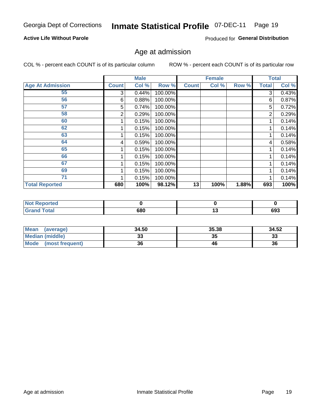## Inmate Statistical Profile 07-DEC-11 Page 19

#### **Active Life Without Parole**

Produced for General Distribution

#### Age at admission

COL % - percent each COUNT is of its particular column

|                         |              | <b>Male</b> |         |              | <b>Female</b> |       |              | <b>Total</b> |
|-------------------------|--------------|-------------|---------|--------------|---------------|-------|--------------|--------------|
| <b>Age At Admission</b> | <b>Count</b> | Col %       | Row %   | <b>Count</b> | Col %         | Row % | <b>Total</b> | Col %        |
| 55                      | 3            | 0.44%       | 100.00% |              |               |       | 3            | 0.43%        |
| 56                      | 6            | 0.88%       | 100.00% |              |               |       | 6            | 0.87%        |
| 57                      | 5            | 0.74%       | 100.00% |              |               |       | 5            | 0.72%        |
| 58                      | 2            | 0.29%       | 100.00% |              |               |       | 2            | 0.29%        |
| 60                      |              | 0.15%       | 100.00% |              |               |       |              | 0.14%        |
| 62                      |              | 0.15%       | 100.00% |              |               |       |              | 0.14%        |
| 63                      |              | 0.15%       | 100.00% |              |               |       |              | 0.14%        |
| 64                      | 4            | 0.59%       | 100.00% |              |               |       | 4            | 0.58%        |
| 65                      |              | 0.15%       | 100.00% |              |               |       |              | 0.14%        |
| 66                      |              | 0.15%       | 100.00% |              |               |       |              | 0.14%        |
| 67                      |              | 0.15%       | 100.00% |              |               |       |              | 0.14%        |
| 69                      |              | 0.15%       | 100.00% |              |               |       |              | 0.14%        |
| 71                      |              | 0.15%       | 100.00% |              |               |       |              | 0.14%        |
| <b>Total Reported</b>   | 680          | 100%        | 98.12%  | 13           | 100%          | 1.88% | 693          | 100%         |

| <b>Not Reported</b> |     |     |     |
|---------------------|-----|-----|-----|
| <b>Total</b>        | 680 | . v | 693 |

| Mean<br>(average)       | 34.50 | 35.38 | 34.52    |
|-------------------------|-------|-------|----------|
| Median (middle)         | JJ    | 35    | າາ<br>ند |
| Mode<br>(most frequent) | 36    | 46    | 36       |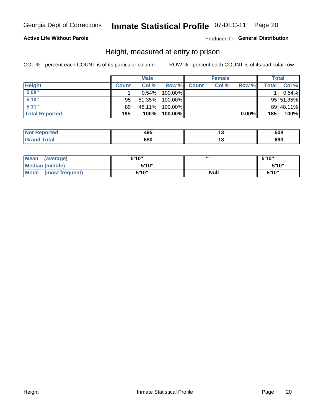#### **Inmate Statistical Profile 07-DEC-11** Page 20

#### **Active Life Without Parole**

#### Produced for General Distribution

#### Height, measured at entry to prison

COL % - percent each COUNT is of its particular column

|                       |              | <b>Male</b> |         |              | <b>Female</b> |       |              | Total     |
|-----------------------|--------------|-------------|---------|--------------|---------------|-------|--------------|-----------|
| <b>Height</b>         | <b>Count</b> | Col %       | Row %   | <b>Count</b> | Col %         | Row % | <b>Total</b> | Col %     |
| 5'08''                |              | $0.54\%$    | 100.00% |              |               |       |              | 0.54%     |
| 5'10''                | 95           | 51.35%      | 100.00% |              |               |       |              | 95 51.35% |
| 5'11''                | 89           | 48.11%      | 100.00% |              |               |       |              | 89 48.11% |
| <b>Total Reported</b> | 185          | 100%        | 100.00% |              |               | 0.00% | 185          | 100%      |

| <b>Not</b><br><b>orted</b><br>reno | 495 | 508 |
|------------------------------------|-----|-----|
| <b>Total</b><br>' Grand            | 680 | 693 |

| Mean<br>(average)              | 5'10" | ш           | 5'10" |
|--------------------------------|-------|-------------|-------|
| Median (middle)                | 5'10" |             | 5'10" |
| <b>Mode</b><br>(most frequent) | 5'10" | <b>Null</b> | 5'10" |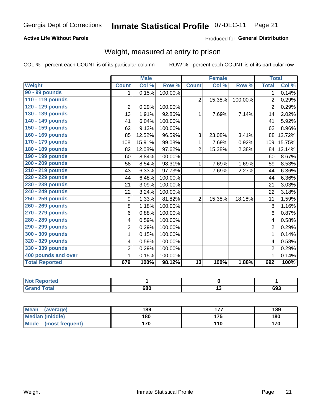#### **Inmate Statistical Profile 07-DEC-11** Page 21

#### **Active Life Without Parole**

#### Produced for General Distribution

### Weight, measured at entry to prison

COL % - percent each COUNT is of its particular column

|                       |                | <b>Male</b> |         |                 | <b>Female</b> |         | <b>Total</b>   |        |
|-----------------------|----------------|-------------|---------|-----------------|---------------|---------|----------------|--------|
| <b>Weight</b>         | <b>Count</b>   | Col %       | Row %   | <b>Count</b>    | Col %         | Row %   | <b>Total</b>   | Col %  |
| 90 - 99 pounds        | 1              | 0.15%       | 100.00% |                 |               |         | 1              | 0.14%  |
| 110 - 119 pounds      |                |             |         | $\overline{2}$  | 15.38%        | 100.00% | 2              | 0.29%  |
| 120 - 129 pounds      | $\overline{2}$ | 0.29%       | 100.00% |                 |               |         | $\overline{2}$ | 0.29%  |
| 130 - 139 pounds      | 13             | 1.91%       | 92.86%  | 1               | 7.69%         | 7.14%   | 14             | 2.02%  |
| 140 - 149 pounds      | 41             | 6.04%       | 100.00% |                 |               |         | 41             | 5.92%  |
| 150 - 159 pounds      | 62             | 9.13%       | 100.00% |                 |               |         | 62             | 8.96%  |
| 160 - 169 pounds      | 85             | 12.52%      | 96.59%  | 3               | 23.08%        | 3.41%   | 88             | 12.72% |
| 170 - 179 pounds      | 108            | 15.91%      | 99.08%  | 1               | 7.69%         | 0.92%   | 109            | 15.75% |
| 180 - 189 pounds      | 82             | 12.08%      | 97.62%  | $\overline{2}$  | 15.38%        | 2.38%   | 84             | 12.14% |
| 190 - 199 pounds      | 60             | 8.84%       | 100.00% |                 |               |         | 60             | 8.67%  |
| 200 - 209 pounds      | 58             | 8.54%       | 98.31%  | 1               | 7.69%         | 1.69%   | 59             | 8.53%  |
| 210 - 219 pounds      | 43             | 6.33%       | 97.73%  | 1               | 7.69%         | 2.27%   | 44             | 6.36%  |
| 220 - 229 pounds      | 44             | 6.48%       | 100.00% |                 |               |         | 44             | 6.36%  |
| 230 - 239 pounds      | 21             | 3.09%       | 100.00% |                 |               |         | 21             | 3.03%  |
| 240 - 249 pounds      | 22             | 3.24%       | 100.00% |                 |               |         | 22             | 3.18%  |
| 250 - 259 pounds      | 9              | 1.33%       | 81.82%  | $\overline{2}$  | 15.38%        | 18.18%  | 11             | 1.59%  |
| 260 - 269 pounds      | 8              | 1.18%       | 100.00% |                 |               |         | 8              | 1.16%  |
| 270 - 279 pounds      | 6              | 0.88%       | 100.00% |                 |               |         | 6              | 0.87%  |
| 280 - 289 pounds      | 4              | 0.59%       | 100.00% |                 |               |         | 4              | 0.58%  |
| 290 - 299 pounds      | $\overline{2}$ | 0.29%       | 100.00% |                 |               |         | 2              | 0.29%  |
| 300 - 309 pounds      | 1              | 0.15%       | 100.00% |                 |               |         | 1              | 0.14%  |
| 320 - 329 pounds      | 4              | 0.59%       | 100.00% |                 |               |         | 4              | 0.58%  |
| 330 - 339 pounds      | $\sqrt{2}$     | 0.29%       | 100.00% |                 |               |         | $\overline{2}$ | 0.29%  |
| 400 pounds and over   | 1              | 0.15%       | 100.00% |                 |               |         | 1              | 0.14%  |
| <b>Total Reported</b> | 679            | 100%        | 98.12%  | $\overline{13}$ | 100%          | 1.88%   | 692            | 100%   |

| 'Not Reported |     |     |
|---------------|-----|-----|
| <b>Total</b>  | 680 | 693 |

| Mean<br>(average)              | 189 | --- | 189 |
|--------------------------------|-----|-----|-----|
| <b>Median (middle)</b>         | 180 | 175 | 180 |
| <b>Mode</b><br>(most frequent) | 170 | 110 | 170 |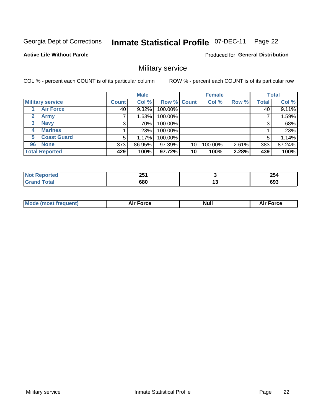#### **Inmate Statistical Profile 07-DEC-11** Page 22

**Active Life Without Parole** 

Produced for General Distribution

### Military service

COL % - percent each COUNT is of its particular column

|                             |              | <b>Male</b> |             |    | <b>Female</b> |       |              | <b>Total</b> |
|-----------------------------|--------------|-------------|-------------|----|---------------|-------|--------------|--------------|
| <b>Military service</b>     | <b>Count</b> | Col %       | Row % Count |    | Col %         | Row % | <b>Total</b> | Col %        |
| <b>Air Force</b>            | 40           | $9.32\%$    | 100.00%     |    |               |       | 40           | 9.11%        |
| $\mathbf{2}$<br><b>Army</b> |              | 1.63%       | 100.00%     |    |               |       |              | 1.59%        |
| <b>Navy</b><br>3            | 3            | .70%        | 100.00%     |    |               |       | 3            | .68%         |
| <b>Marines</b><br>4         |              | .23%        | 100.00%     |    |               |       |              | .23%         |
| <b>Coast Guard</b><br>5.    | 5            | 1.17%       | 100.00%     |    |               |       | 5            | 1.14%        |
| <b>None</b><br>96           | 373          | 86.95%      | 97.39%      | 10 | 100.00%       | 2.61% | 383          | 87.24%       |
| <b>Total Reported</b>       | 429          | 100%        | 97.72%      | 10 | 100%          | 2.28% | 439          | 100%         |

| <b>orted</b> | つに・<br>ZJ<br>$-$ | 254     |
|--------------|------------------|---------|
| Гоtal        | 680              | <br>693 |

|  |  | <b>Mode</b><br>uent)<br>most tren | Force<br>Aır | <b>Null</b> | orce |
|--|--|-----------------------------------|--------------|-------------|------|
|--|--|-----------------------------------|--------------|-------------|------|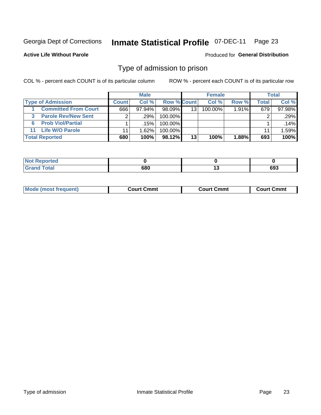#### **Inmate Statistical Profile 07-DEC-11** Page 23

**Active Life Without Parole** 

Produced for General Distribution

#### Type of admission to prison

COL % - percent each COUNT is of its particular column

|                                 |              | <b>Male</b> |                    |    | <b>Female</b> |          |       | Total  |
|---------------------------------|--------------|-------------|--------------------|----|---------------|----------|-------|--------|
| <b>Type of Admission</b>        | <b>Count</b> | Col %       | <b>Row % Count</b> |    | Col %         | Row %    | Total | Col %  |
| <b>Committed From Court</b>     | 666          | $97.94\%$   | 98.09%             | 13 | 100.00%       | $1.91\%$ | 679   | 97.98% |
| <b>Parole Rev/New Sent</b><br>3 | 2            | .29%        | 100.00%            |    |               |          |       | .29%   |
| <b>Prob Viol/Partial</b><br>6.  |              | .15%        | 100.00%            |    |               |          |       | .14%   |
| 11 Life W/O Parole              | 11           | 1.62%       | 100.00%            |    |               |          | 11    | 1.59%  |
| <b>Total Reported</b>           | 680          | 100%        | 98.12%             | 13 | 100%          | 1.88%    | 693   | 100%   |

| orted                       |     |     |
|-----------------------------|-----|-----|
| <b>Total</b><br><b>C.v.</b> | 680 | 693 |

| <b>Mode (most frequent)</b><br>Court Cmmt<br>Court Cmmt<br>Court Cmmt |
|-----------------------------------------------------------------------|
|-----------------------------------------------------------------------|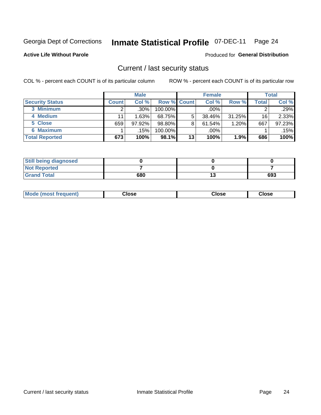## Inmate Statistical Profile 07-DEC-11 Page 24

**Active Life Without Parole** 

#### Produced for General Distribution

#### Current / last security status

COL % - percent each COUNT is of its particular column

|                        |              | <b>Male</b> |                    |    | <b>Female</b> |           |       | <b>Total</b> |
|------------------------|--------------|-------------|--------------------|----|---------------|-----------|-------|--------------|
| <b>Security Status</b> | <b>Count</b> | Col%        | <b>Row % Count</b> |    | Col%          | Row %     | Total | Col %        |
| 3 Minimum              |              | $.30\%$     | 100.00%            |    | $.00\%$       |           |       | .29%         |
| 4 Medium               | 11           | 1.63%       | 68.75%             | 5  | 38.46%        | $31.25\%$ | 16    | 2.33%        |
| 5 Close                | 659          | 97.92%      | 98.80%             | 8  | 61.54%        | 1.20%     | 667   | 97.23%       |
| <b>6 Maximum</b>       |              | .15%        | 100.00%            |    | .00%          |           |       | .15%         |
| <b>Total Reported</b>  | 673          | 100%        | 98.1%              | 13 | 100%          | 1.9%      | 686   | 100%         |

| <b>Still being diagnosed</b> |     |    |     |
|------------------------------|-----|----|-----|
| <b>Not Reported</b>          |     |    |     |
| <b>Grand Total</b>           | 680 | IJ | 693 |

| <b>Mode</b><br>'requent)<br>۔lose<br>Close<br>Close<br>n iması .<br>- - - -<br>- - - -<br>- - - - |  |
|---------------------------------------------------------------------------------------------------|--|
|---------------------------------------------------------------------------------------------------|--|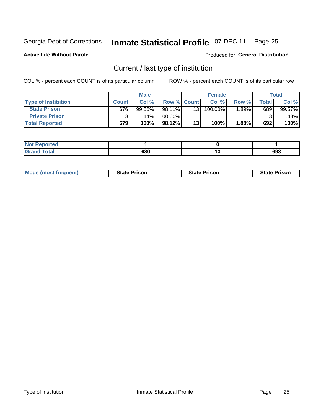#### Inmate Statistical Profile 07-DEC-11 Page 25

**Active Life Without Parole** 

Produced for General Distribution

### Current / last type of institution

COL % - percent each COUNT is of its particular column

|                            |       | <b>Male</b> |                    |    | <b>Female</b> |         |                          | <b>Total</b> |
|----------------------------|-------|-------------|--------------------|----|---------------|---------|--------------------------|--------------|
| <b>Type of Institution</b> | Count | Col %       | <b>Row % Count</b> |    | Col %         | Row %   | $\mathsf{Total}_{\perp}$ | Col %        |
| <b>State Prison</b>        | 676   | 99.56%      | 98.11%             | 13 | 100.00%       | $.89\%$ | 689                      | 99.57%       |
| <b>Private Prison</b>      |       | .44%        | 100.00%            |    |               |         |                          | .43%         |
| <b>Total Reported</b>      | 679   | 100%        | $98.12\%$          | 13 | 100%          | 1.88%   | 692                      | 100%         |

| المراجع بالقوم<br>τeα |     |    |        |
|-----------------------|-----|----|--------|
| $int^{\bullet}$       | con | -  | $\sim$ |
|                       | υου | יי | ხყა    |

| <b>Mode (most frequent)</b> | <b>State Prison</b> | <b>State Prison</b> | <b>State Prison</b> |
|-----------------------------|---------------------|---------------------|---------------------|
|                             |                     |                     |                     |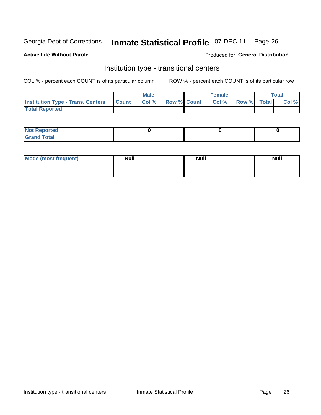#### **Inmate Statistical Profile 07-DEC-11** Page 26

#### **Active Life Without Parole**

#### Produced for General Distribution

### Institution type - transitional centers

COL % - percent each COUNT is of its particular column

|                                                | Male  |                    | <b>Female</b> |                   | Total |
|------------------------------------------------|-------|--------------------|---------------|-------------------|-------|
| <b>Institution Type - Trans. Centers Count</b> | Col % | <b>Row % Count</b> |               | Col % Row % Total | Col % |
| <b>Total Reported</b>                          |       |                    |               |                   |       |

| <b>Reported</b><br><b>NOT</b><br>$\sim$            |  |  |
|----------------------------------------------------|--|--|
| $f$ $f \circ f \circ f$<br>$C = 1$<br><b>TULAI</b> |  |  |

| Mode (most frequent) | <b>Null</b> | <b>Null</b> | <b>Null</b> |
|----------------------|-------------|-------------|-------------|
|                      |             |             |             |
|                      |             |             |             |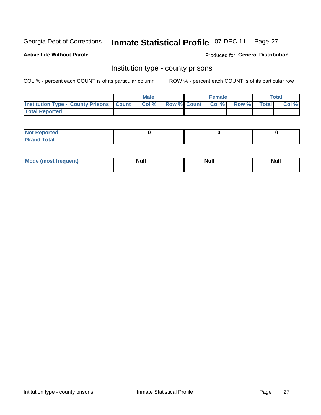## Inmate Statistical Profile 07-DEC-11 Page 27

**Active Life Without Parole** 

**Produced for General Distribution** 

#### Institution type - county prisons

COL % - percent each COUNT is of its particular column

|                                                    | <b>Male</b> |                          | <b>Female</b> |             | <b>Total</b> |
|----------------------------------------------------|-------------|--------------------------|---------------|-------------|--------------|
| <b>Institution Type - County Prisons   Count  </b> | Col %       | <b>Row % Count Col %</b> |               | Row % Total | Col %        |
| <b>Total Reported</b>                              |             |                          |               |             |              |

| <b>Not Reported</b>         |  |  |
|-----------------------------|--|--|
| <b>Total</b><br>-<br>______ |  |  |

| <b>Mode</b>      | <b>Null</b> | <b>Null</b> | <b>Null</b> |
|------------------|-------------|-------------|-------------|
| (most freauent). |             |             |             |
|                  |             |             |             |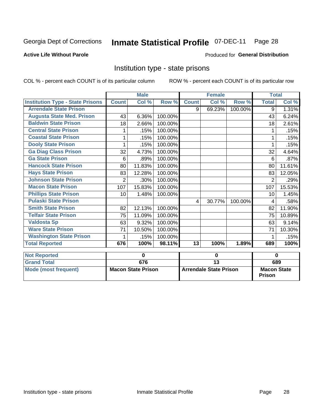#### Inmate Statistical Profile 07-DEC-11 Page 28

#### **Active Life Without Parole**

#### Produced for General Distribution

### Institution type - state prisons

COL % - percent each COUNT is of its particular column

|                                         |                | <b>Male</b>               |         |              | <b>Female</b>                 |         | <b>Total</b>                        |        |
|-----------------------------------------|----------------|---------------------------|---------|--------------|-------------------------------|---------|-------------------------------------|--------|
| <b>Institution Type - State Prisons</b> | <b>Count</b>   | Col %                     | Row %   | <b>Count</b> | Col %                         | Row %   | <b>Total</b>                        | Col %  |
| <b>Arrendale State Prison</b>           |                |                           |         | 9            | 69.23%                        | 100.00% | 9                                   | 1.31%  |
| <b>Augusta State Med. Prison</b>        | 43             | 6.36%                     | 100.00% |              |                               |         | 43                                  | 6.24%  |
| <b>Baldwin State Prison</b>             | 18             | 2.66%                     | 100.00% |              |                               |         | 18                                  | 2.61%  |
| <b>Central State Prison</b>             | 1              | .15%                      | 100.00% |              |                               |         | 1                                   | .15%   |
| <b>Coastal State Prison</b>             |                | .15%                      | 100.00% |              |                               |         |                                     | .15%   |
| <b>Dooly State Prison</b>               |                | .15%                      | 100.00% |              |                               |         |                                     | .15%   |
| <b>Ga Diag Class Prison</b>             | 32             | 4.73%                     | 100.00% |              |                               |         | 32                                  | 4.64%  |
| <b>Ga State Prison</b>                  | 6              | .89%                      | 100.00% |              |                               |         | 6                                   | .87%   |
| <b>Hancock State Prison</b>             | 80             | 11.83%                    | 100.00% |              |                               |         | 80                                  | 11.61% |
| <b>Hays State Prison</b>                | 83             | 12.28%                    | 100.00% |              |                               |         | 83                                  | 12.05% |
| <b>Johnson State Prison</b>             | $\overline{2}$ | .30%                      | 100.00% |              |                               |         | $\overline{2}$                      | .29%   |
| <b>Macon State Prison</b>               | 107            | 15.83%                    | 100.00% |              |                               |         | 107                                 | 15.53% |
| <b>Phillips State Prison</b>            | 10             | 1.48%                     | 100.00% |              |                               |         | 10                                  | 1.45%  |
| <b>Pulaski State Prison</b>             |                |                           |         | 4            | 30.77%                        | 100.00% | 4                                   | .58%   |
| <b>Smith State Prison</b>               | 82             | 12.13%                    | 100.00% |              |                               |         | 82                                  | 11.90% |
| <b>Telfair State Prison</b>             | 75             | 11.09%                    | 100.00% |              |                               |         | 75                                  | 10.89% |
| <b>Valdosta Sp</b>                      | 63             | 9.32%                     | 100.00% |              |                               |         | 63                                  | 9.14%  |
| <b>Ware State Prison</b>                | 71             | 10.50%                    | 100.00% |              |                               |         | 71                                  | 10.30% |
| <b>Washington State Prison</b>          | 1              | .15%                      | 100.00% |              |                               |         | 1                                   | .15%   |
| <b>Total Reported</b>                   | 676            | 100%                      | 98.11%  | 13           | 100%                          | 1.89%   | 689                                 | 100%   |
| <b>Not Reported</b>                     |                | $\mathbf 0$               |         |              | $\bf{0}$                      |         | $\bf{0}$                            |        |
| <b>Grand Total</b>                      |                | 676                       |         |              | $\overline{13}$               |         |                                     | 689    |
| <b>Mode (most frequent)</b>             |                | <b>Macon State Prison</b> |         |              | <b>Arrendale State Prison</b> |         | <b>Macon State</b><br><b>Prison</b> |        |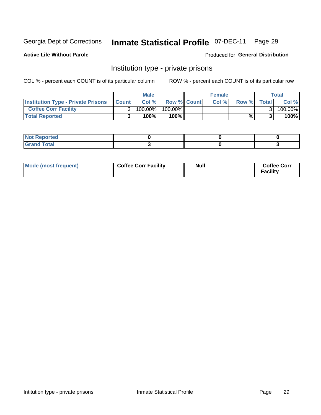## Inmate Statistical Profile 07-DEC-11 Page 29

**Active Life Without Parole** 

Produced for General Distribution

### Institution type - private prisons

COL % - percent each COUNT is of its particular column

|                                           |              | <b>Male</b> |                    | <b>Female</b> |       |              | Total   |
|-------------------------------------------|--------------|-------------|--------------------|---------------|-------|--------------|---------|
| <b>Institution Type - Private Prisons</b> | <b>Count</b> | Col%        | <b>Row % Count</b> | Col %         | Row % | <b>Total</b> | Col %   |
| <b>Coffee Corr Facility</b>               |              | 100.00%     | 100.00%            |               |       |              | 100.00% |
| <b>Total Reported</b>                     |              | $100\%$     | 100%               |               | %     |              | 100%    |

| ∣ Not Reportea |  |  |
|----------------|--|--|
|                |  |  |

| Mode (most frequent) | <b>Coffee Corr Facility</b> | <b>Null</b> | <b>Coffee Corr</b><br>Facility |
|----------------------|-----------------------------|-------------|--------------------------------|
|----------------------|-----------------------------|-------------|--------------------------------|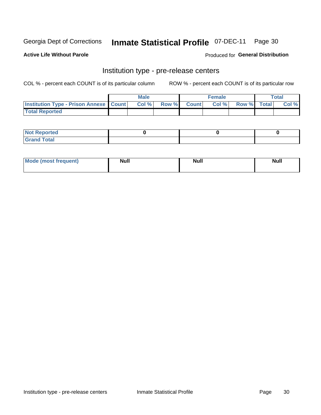## Inmate Statistical Profile 07-DEC-11 Page 30

**Active Life Without Parole** 

Produced for General Distribution

## Institution type - pre-release centers

COL % - percent each COUNT is of its particular column

|                                                   | <b>Male</b> |              |       | <b>Female</b> |                    | <b>Total</b> |
|---------------------------------------------------|-------------|--------------|-------|---------------|--------------------|--------------|
| <b>Institution Type - Prison Annexe   Count  </b> | Col %       | <b>Row %</b> | Count | Col %         | <b>Row %</b> Total | Col %        |
| <b>Total Reported</b>                             |             |              |       |               |                    |              |

| <b>Reported</b><br>I NOT |  |  |
|--------------------------|--|--|
| <b>Total</b><br>$C$ ren  |  |  |

| <b>Mo</b><br>frequent)<br>(most | <b>Null</b> | <b>Null</b> | <b>Null</b> |
|---------------------------------|-------------|-------------|-------------|
|                                 |             |             |             |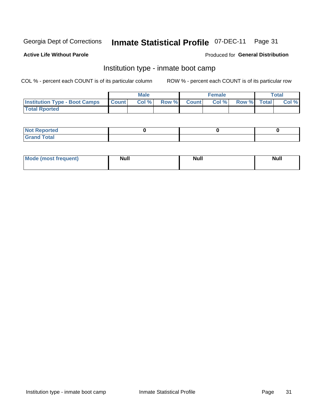#### **Inmate Statistical Profile 07-DEC-11** Page 31

#### **Active Life Without Parole**

#### Produced for General Distribution

### Institution type - inmate boot camp

COL % - percent each COUNT is of its particular column

|                                      |              | <b>Male</b> |               |              | <b>Female</b> |             | <b>Total</b> |
|--------------------------------------|--------------|-------------|---------------|--------------|---------------|-------------|--------------|
| <b>Institution Type - Boot Camps</b> | <b>Count</b> | Col %       | <b>Row %I</b> | <b>Count</b> | Col %         | Row % Total | Col %        |
| <b>Total Rported</b>                 |              |             |               |              |               |             |              |

| <b>Not Reported</b> |  |  |
|---------------------|--|--|
| <b>Total</b><br>Cro |  |  |

| <b>I Mode (most frequent)</b> | <b>Null</b> | <b>Null</b> | <b>Null</b> |
|-------------------------------|-------------|-------------|-------------|
|                               |             |             |             |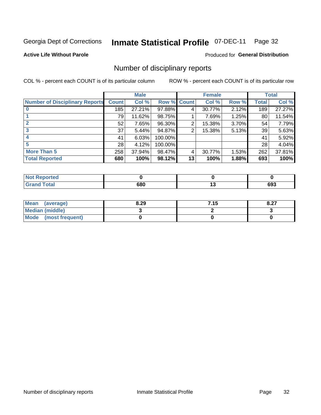## Inmate Statistical Profile 07-DEC-11 Page 32

**Active Life Without Parole** 

#### **Produced for General Distribution**

### Number of disciplinary reports

COL % - percent each COUNT is of its particular column

|                                       |              | <b>Male</b> |                    |    | <b>Female</b> |       |              | <b>Total</b> |
|---------------------------------------|--------------|-------------|--------------------|----|---------------|-------|--------------|--------------|
| <b>Number of Disciplinary Reports</b> | <b>Count</b> | Col %       | <b>Row % Count</b> |    | Col %         | Row % | <b>Total</b> | Col %        |
|                                       | 185          | 27.21%      | 97.88%             | 4  | 30.77%        | 2.12% | 189          | 27.27%       |
|                                       | 79           | 11.62%      | 98.75%             |    | 7.69%         | 1.25% | 80           | 11.54%       |
| $\mathbf{2}$                          | 52           | 7.65%       | 96.30%             | 2  | 15.38%        | 3.70% | 54           | 7.79%        |
| 3                                     | 37           | 5.44%       | 94.87%             | 2  | 15.38%        | 5.13% | 39           | 5.63%        |
|                                       | 41           | 6.03%       | 100.00%            |    |               |       | 41           | 5.92%        |
| 5                                     | 28           | 4.12%       | 100.00%            |    |               |       | 28           | 4.04%        |
| <b>More Than 5</b>                    | 258          | 37.94%      | 98.47%             | 4  | 30.77%        | 1.53% | 262          | 37.81%       |
| <b>Total Reported</b>                 | 680          | 100%        | 98.12%             | 13 | 100%          | 1.88% | 693          | 100%         |

| <b>Not Reported</b> |     |     |
|---------------------|-----|-----|
| <b>Fotal</b>        | 680 | 693 |

| Mean (average)         | 8.29 | 7.15 | O.L. |
|------------------------|------|------|------|
| <b>Median (middle)</b> |      |      |      |
| Mode (most frequent)   |      |      |      |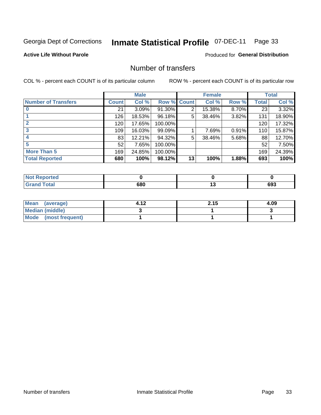## Inmate Statistical Profile 07-DEC-11 Page 33

#### **Active Life Without Parole**

#### **Produced for General Distribution**

### Number of transfers

COL % - percent each COUNT is of its particular column

|                            |              | <b>Male</b> |             |    | <b>Female</b> |       |              | <b>Total</b> |
|----------------------------|--------------|-------------|-------------|----|---------------|-------|--------------|--------------|
| <b>Number of Transfers</b> | <b>Count</b> | Col %       | Row % Count |    | Col %         | Row % | <b>Total</b> | Col %        |
|                            | 21           | 3.09%       | 91.30%      | 2  | 15.38%        | 8.70% | 23           | 3.32%        |
|                            | 126          | 18.53%      | 96.18%      | 5  | 38.46%        | 3.82% | 131          | 18.90%       |
| $\mathbf{2}$               | 120          | 17.65%      | 100.00%     |    |               |       | 120          | 17.32%       |
| 3                          | 109          | 16.03%      | 99.09%      |    | 7.69%         | 0.91% | 110          | 15.87%       |
|                            | 83           | 12.21%      | 94.32%      | 5  | 38.46%        | 5.68% | 88           | 12.70%       |
| 5                          | 52           | 7.65%       | 100.00%     |    |               |       | 52           | 7.50%        |
| <b>More Than 5</b>         | 169          | 24.85%      | 100.00%     |    |               |       | 169          | 24.39%       |
| <b>Total Reported</b>      | 680          | 100%        | 98.12%      | 13 | 100%          | 1.88% | 693          | 100%         |

| <b>Not Reported</b> |     |     |
|---------------------|-----|-----|
| <b>Fotal</b>        | 680 | 693 |

| Mean (average)         | A 12 | 2.15 | 4.09 |
|------------------------|------|------|------|
| <b>Median (middle)</b> |      |      |      |
| Mode (most frequent)   |      |      |      |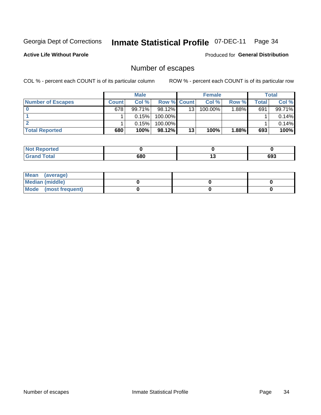## Inmate Statistical Profile 07-DEC-11 Page 34

**Active Life Without Parole** 

**Produced for General Distribution** 

### Number of escapes

COL % - percent each COUNT is of its particular column

|                          |              | <b>Male</b> |                    |    | <b>Female</b> |          |       | Total  |
|--------------------------|--------------|-------------|--------------------|----|---------------|----------|-------|--------|
| <b>Number of Escapes</b> | <b>Count</b> | Col%        | <b>Row % Count</b> |    | Col %         | Row %    | Total | Col %  |
|                          | 678          | 99.71%      | $98.12\%$          | 13 | 100.00%       | $1.88\%$ | 691   | 99.71% |
|                          |              | 0.15%       | 100.00%            |    |               |          |       | 0.14%  |
|                          |              | 0.15%       | $100.00\%$         |    |               |          |       | 0.14%  |
| <b>Total Reported</b>    | 680          | 100%        | 98.12%             | 13 | 100%          | 1.88%    | 693   | 100%   |

| <b>Not Reported</b>  |     |     |
|----------------------|-----|-----|
| <b>Total</b><br>Grar | 680 | 693 |

| Mean (average)       |  |  |
|----------------------|--|--|
| Median (middle)      |  |  |
| Mode (most frequent) |  |  |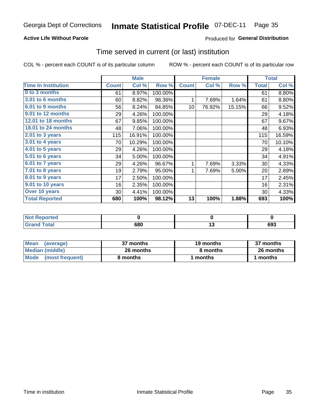#### **Inmate Statistical Profile 07-DEC-11** Page 35

#### **Active Life Without Parole**

#### **Produced for General Distribution**

#### Time served in current (or last) institution

COL % - percent each COUNT is of its particular column

|                              |              | <b>Male</b> |         |              | <b>Female</b> |        |              | <b>Total</b> |
|------------------------------|--------------|-------------|---------|--------------|---------------|--------|--------------|--------------|
| <b>Time In Institution</b>   | <b>Count</b> | Col %       | Row %   | <b>Count</b> | Col %         | Row %  | <b>Total</b> | Col %        |
| 0 to 3 months                | 61           | 8.97%       | 100.00% |              |               |        | 61           | 8.80%        |
| 3.01 to 6 months             | 60           | 8.82%       | 98.36%  | 1            | 7.69%         | 1.64%  | 61           | 8.80%        |
| 6.01 to 9 months             | 56           | 8.24%       | 84.85%  | 10           | 76.92%        | 15.15% | 66           | 9.52%        |
| 9.01 to 12 months            | 29           | 4.26%       | 100.00% |              |               |        | 29           | 4.18%        |
| 12.01 to 18 months           | 67           | 9.85%       | 100.00% |              |               |        | 67           | 9.67%        |
| <b>18.01 to 24 months</b>    | 48           | 7.06%       | 100.00% |              |               |        | 48           | 6.93%        |
| $2.01$ to 3 years            | 115          | 16.91%      | 100.00% |              |               |        | 115          | 16.59%       |
| $3.01$ to 4 years            | 70           | 10.29%      | 100.00% |              |               |        | 70           | 10.10%       |
| $4.01$ to 5 years            | 29           | 4.26%       | 100.00% |              |               |        | 29           | 4.18%        |
| $\overline{5.01}$ to 6 years | 34           | 5.00%       | 100.00% |              |               |        | 34           | 4.91%        |
| 6.01 to 7 years              | 29           | 4.26%       | 96.67%  | 1            | 7.69%         | 3.33%  | 30           | 4.33%        |
| $7.01$ to 8 years            | 19           | 2.79%       | 95.00%  | 1            | 7.69%         | 5.00%  | 20           | 2.89%        |
| $8.01$ to 9 years            | 17           | 2.50%       | 100.00% |              |               |        | 17           | 2.45%        |
| 9.01 to 10 years             | 16           | 2.35%       | 100.00% |              |               |        | 16           | 2.31%        |
| Over 10 years                | 30           | 4.41%       | 100.00% |              |               |        | 30           | 4.33%        |
| <b>Total Reported</b>        | 680          | 100%        | 98.12%  | 13           | 100%          | 1.88%  | 693          | 100%         |

| Reported<br><b>NOT</b> |     |     |     |
|------------------------|-----|-----|-----|
| <i>i</i> otal          | 680 | . . | 693 |

| <b>Mean</b><br>(average) | 37 months | 19 months | 37 months |
|--------------------------|-----------|-----------|-----------|
| Median (middle)          | 26 months | 8 months  | 26 months |
| Mode (most frequent)     | 8 months  | 1 months  | 1 months  |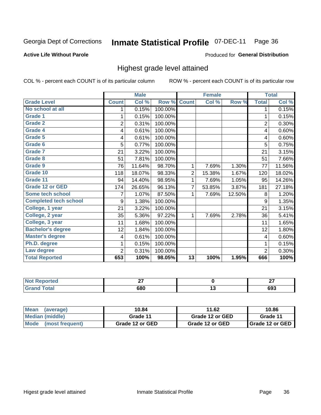#### **Inmate Statistical Profile 07-DEC-11** Page 36

#### **Active Life Without Parole**

#### Produced for General Distribution

#### Highest grade level attained

COL % - percent each COUNT is of its particular column

|                              |                | <b>Male</b> |         |                 | <b>Female</b> |        |                | <b>Total</b> |
|------------------------------|----------------|-------------|---------|-----------------|---------------|--------|----------------|--------------|
| <b>Grade Level</b>           | <b>Count</b>   | Col %       | Row %   | <b>Count</b>    | Col %         | Row %  | <b>Total</b>   | Col %        |
| No school at all             | 1              | 0.15%       | 100.00% |                 |               |        | 1              | 0.15%        |
| <b>Grade 1</b>               |                | 0.15%       | 100.00% |                 |               |        | 1              | 0.15%        |
| <b>Grade 2</b>               | $\overline{2}$ | 0.31%       | 100.00% |                 |               |        | $\overline{c}$ | 0.30%        |
| Grade 4                      | 4              | 0.61%       | 100.00% |                 |               |        | 4              | 0.60%        |
| Grade 5                      | 4              | 0.61%       | 100.00% |                 |               |        | 4              | 0.60%        |
| Grade 6                      | 5              | 0.77%       | 100.00% |                 |               |        | 5              | 0.75%        |
| <b>Grade 7</b>               | 21             | 3.22%       | 100.00% |                 |               |        | 21             | 3.15%        |
| <b>Grade 8</b>               | 51             | 7.81%       | 100.00% |                 |               |        | 51             | 7.66%        |
| <b>Grade 9</b>               | 76             | 11.64%      | 98.70%  | 1               | 7.69%         | 1.30%  | 77             | 11.56%       |
| Grade 10                     | 118            | 18.07%      | 98.33%  | $\overline{c}$  | 15.38%        | 1.67%  | 120            | 18.02%       |
| Grade 11                     | 94             | 14.40%      | 98.95%  | 1               | 7.69%         | 1.05%  | 95             | 14.26%       |
| <b>Grade 12 or GED</b>       | 174            | 26.65%      | 96.13%  | 7               | 53.85%        | 3.87%  | 181            | 27.18%       |
| <b>Some tech school</b>      | 7              | 1.07%       | 87.50%  | 1               | 7.69%         | 12.50% | 8              | 1.20%        |
| <b>Completed tech school</b> | 9              | 1.38%       | 100.00% |                 |               |        | 9              | 1.35%        |
| College, 1 year              | 21             | 3.22%       | 100.00% |                 |               |        | 21             | 3.15%        |
| College, 2 year              | 35             | 5.36%       | 97.22%  | 1               | 7.69%         | 2.78%  | 36             | 5.41%        |
| College, 3 year              | 11             | 1.68%       | 100.00% |                 |               |        | 11             | 1.65%        |
| <b>Bachelor's degree</b>     | 12             | 1.84%       | 100.00% |                 |               |        | 12             | 1.80%        |
| <b>Master's degree</b>       | 4              | 0.61%       | 100.00% |                 |               |        | 4              | 0.60%        |
| Ph.D. degree                 | 1              | 0.15%       | 100.00% |                 |               |        | 1              | 0.15%        |
| Law degree                   | 2              | 0.31%       | 100.00% |                 |               |        | $\overline{2}$ | 0.30%        |
| <b>Total Reported</b>        | 653            | 100%        | 98.05%  | $\overline{13}$ | 100%          | 1.95%  | 666            | 100%         |

| <b>REDIOIDER</b> | ~-<br>-- |     | $\sim$         |
|------------------|----------|-----|----------------|
| otal             | 680      | . . | <b></b><br>งวง |

| <b>Mean</b><br>(average)       | 10.84           | 11.62           | 10.86             |
|--------------------------------|-----------------|-----------------|-------------------|
| <b>Median (middle)</b>         | Grade 11        | Grade 12 or GED | Grade 11          |
| <b>Mode</b><br>(most frequent) | Grade 12 or GED | Grade 12 or GED | I Grade 12 or GED |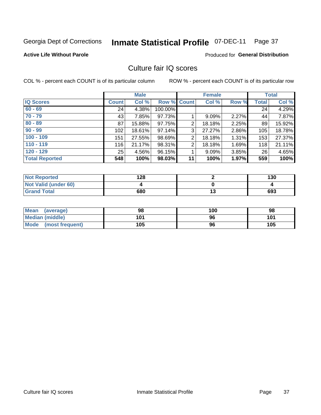# Inmate Statistical Profile 07-DEC-11 Page 37

**Active Life Without Parole** 

**Produced for General Distribution** 

# Culture fair IQ scores

COL % - percent each COUNT is of its particular column

|                       |              | <b>Male</b> |                    |                | <b>Female</b> |          |              | <b>Total</b> |
|-----------------------|--------------|-------------|--------------------|----------------|---------------|----------|--------------|--------------|
| <b>IQ Scores</b>      | <b>Count</b> | Col %       | <b>Row % Count</b> |                | Col %         | Row %    | <b>Total</b> | Col %        |
| $60 - 69$             | 24           | 4.38%       | 100.00%            |                |               |          | 24           | 4.29%        |
| $70 - 79$             | 43           | 7.85%       | 97.73%             |                | 9.09%         | 2.27%    | 44           | 7.87%        |
| $80 - 89$             | 87           | 15.88%      | 97.75%             | 2              | 18.18%        | 2.25%    | 89           | 15.92%       |
| $90 - 99$             | 102          | 18.61%      | 97.14%             | 3              | 27.27%        | $2.86\%$ | 105          | 18.78%       |
| $100 - 109$           | 151          | 27.55%      | 98.69%             | $\overline{2}$ | 18.18%        | 1.31%    | 153          | 27.37%       |
| $110 - 119$           | 116          | 21.17%      | 98.31%             | 2              | 18.18%        | 1.69%    | 118          | 21.11%       |
| $120 - 129$           | 25           | 4.56%       | 96.15%             |                | 9.09%         | $3.85\%$ | 26           | 4.65%        |
| <b>Total Reported</b> | 548          | 100%        | 98.03%             | 11             | 100%          | 1.97%    | 559          | 100%         |

| <b>Not Reported</b>         | 128 | 130 |
|-----------------------------|-----|-----|
| <b>Not Valid (under 60)</b> |     |     |
| <b>Grand Total</b>          | 680 | 693 |

| <b>Mean</b><br>(average) | 98  | 100 | 98  |
|--------------------------|-----|-----|-----|
| Median (middle)          | 101 | 96  | 101 |
| Mode (most frequent)     | 105 | 96  | 105 |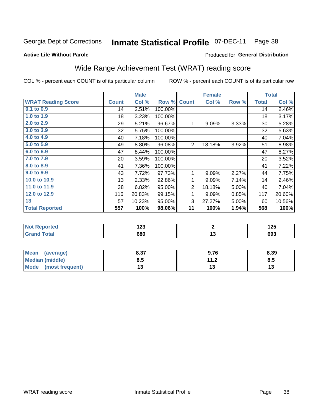#### **Inmate Statistical Profile 07-DEC-11** Page 38

### **Active Life Without Parole**

## Produced for General Distribution

# Wide Range Achievement Test (WRAT) reading score

COL % - percent each COUNT is of its particular column

|                           |              | <b>Male</b> |         |                | <b>Female</b>     |       |              | <b>Total</b> |
|---------------------------|--------------|-------------|---------|----------------|-------------------|-------|--------------|--------------|
| <b>WRAT Reading Score</b> | <b>Count</b> | Col %       | Row %   | <b>Count</b>   | Col %             | Row % | <b>Total</b> | Col %        |
| $0.1$ to $0.9$            | 14           | 2.51%       | 100.00% |                |                   |       | 14           | 2.46%        |
| 1.0 to 1.9                | 18           | 3.23%       | 100.00% |                |                   |       | 18           | 3.17%        |
| 2.0 to 2.9                | 29           | 5.21%       | 96.67%  | 1              | 9.09%             | 3.33% | 30           | 5.28%        |
| 3.0 to 3.9                | 32           | 5.75%       | 100.00% |                |                   |       | 32           | 5.63%        |
| 4.0 to 4.9                | 40           | 7.18%       | 100.00% |                |                   |       | 40           | 7.04%        |
| 5.0 to 5.9                | 49           | 8.80%       | 96.08%  | $\overline{2}$ | 18.18%            | 3.92% | 51           | 8.98%        |
| 6.0 to 6.9                | 47           | 8.44%       | 100.00% |                |                   |       | 47           | 8.27%        |
| 7.0 to 7.9                | 20           | 3.59%       | 100.00% |                |                   |       | 20           | 3.52%        |
| 8.0 to 8.9                | 41           | 7.36%       | 100.00% |                |                   |       | 41           | 7.22%        |
| 9.0 to 9.9                | 43           | 7.72%       | 97.73%  | 1              | 9.09%             | 2.27% | 44           | 7.75%        |
| 10.0 to 10.9              | 13           | 2.33%       | 92.86%  | 1              | 9.09%             | 7.14% | 14           | 2.46%        |
| 11.0 to $11.9$            | 38           | 6.82%       | 95.00%  | $\overline{2}$ | 18.18%            | 5.00% | 40           | 7.04%        |
| 12.0 to 12.9              | 116          | 20.83%      | 99.15%  | 1              | 9.09%             | 0.85% | 117          | 20.60%       |
| 13                        | 57           | 10.23%      | 95.00%  | 3              | 27.27%            | 5.00% | 60           | 10.56%       |
| <b>Total Reported</b>     | 557          | 100%        | 98.06%  | 11             | 100%              | 1.94% | 568          | 100%         |
|                           |              |             |         |                |                   |       |              |              |
| Not Penerted              |              | 123         |         |                | $\mathbf{\Omega}$ |       |              | 1つに          |

| $\parallel$ Not reported | 143 | .<br>∪⊾ו |
|--------------------------|-----|----------|
|                          | 680 | ხყკ      |
|                          |     |          |

| Mean<br>(average)       | 8.37 | 9.76          | 8.39 |
|-------------------------|------|---------------|------|
| <b>Median (middle)</b>  | ช.อ  | 11 J<br>. . Z | 8.5  |
| Mode<br>(most frequent) |      |               | IJ   |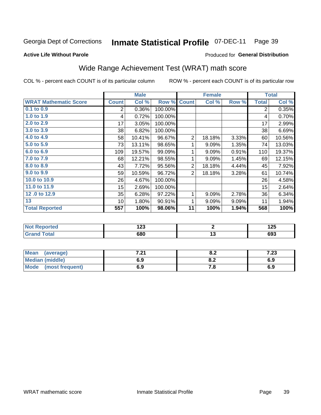#### **Inmate Statistical Profile 07-DEC-11** Page 39

Produced for General Distribution

## **Active Life Without Parole**

# Wide Range Achievement Test (WRAT) math score

COL % - percent each COUNT is of its particular column

|                              |                 | <b>Male</b> |         |                | <b>Female</b>   |       |              | <b>Total</b>              |
|------------------------------|-----------------|-------------|---------|----------------|-----------------|-------|--------------|---------------------------|
| <b>WRAT Mathematic Score</b> | <b>Count</b>    | Col %       | Row %   | <b>Count</b>   | Col %           | Row % | <b>Total</b> | $\overline{\text{Col}}$ % |
| $0.1$ to $0.9$               | 2               | 0.36%       | 100.00% |                |                 |       | 2            | 0.35%                     |
| 1.0 to 1.9                   | 4               | 0.72%       | 100.00% |                |                 |       | 4            | 0.70%                     |
| 2.0 to 2.9                   | 17              | 3.05%       | 100.00% |                |                 |       | 17           | 2.99%                     |
| 3.0 to 3.9                   | 38              | 6.82%       | 100.00% |                |                 |       | 38           | 6.69%                     |
| 4.0 to 4.9                   | 58              | 10.41%      | 96.67%  | $\overline{2}$ | 18.18%          | 3.33% | 60           | 10.56%                    |
| 5.0 to 5.9                   | 73              | 13.11%      | 98.65%  | 1              | 9.09%           | 1.35% | 74           | 13.03%                    |
| 6.0 to 6.9                   | 109             | 19.57%      | 99.09%  | 1              | 9.09%           | 0.91% | 110          | 19.37%                    |
| 7.0 to 7.9                   | 68              | 12.21%      | 98.55%  | 1              | 9.09%           | 1.45% | 69           | 12.15%                    |
| 8.0 to 8.9                   | 43              | 7.72%       | 95.56%  | $\overline{2}$ | 18.18%          | 4.44% | 45           | 7.92%                     |
| 9.0 to 9.9                   | 59              | 10.59%      | 96.72%  | $\overline{2}$ | 18.18%          | 3.28% | 61           | 10.74%                    |
| 10.0 to 10.9                 | 26              | 4.67%       | 100.00% |                |                 |       | 26           | 4.58%                     |
| 11.0 to 11.9                 | 15              | 2.69%       | 100.00% |                |                 |       | 15           | 2.64%                     |
| 12.0 to 12.9                 | 35              | 6.28%       | 97.22%  | 1              | 9.09%           | 2.78% | 36           | 6.34%                     |
| 13                           | 10 <sup>1</sup> | 1.80%       | 90.91%  | 1              | 9.09%           | 9.09% | 11           | 1.94%                     |
| <b>Total Reported</b>        | 557             | 100%        | 98.06%  | 11             | 100%            | 1.94% | 568          | 100%                      |
|                              |                 |             |         |                |                 |       |              |                           |
| <b>Not Reported</b>          |                 | 123         |         |                | $\overline{2}$  |       |              | 125                       |
| <b>Grand Total</b>           |                 | 680         |         |                | $\overline{13}$ |       |              | 693                       |
|                              |                 |             |         |                |                 |       |              |                           |

| <b>Mean</b><br>(average)       | , ער<br>. z i | v.z | ה הי<br>د |
|--------------------------------|---------------|-----|-----------|
| <b>Median (middle)</b>         | 6.9           | v.z | 6.9       |
| <b>Mode</b><br>(most frequent) | 6.9           | 7.O | 6.9       |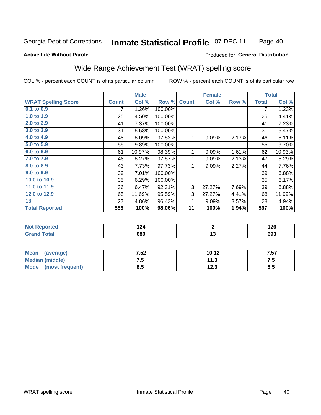#### **Inmate Statistical Profile 07-DEC-11** Page 40

### **Active Life Without Parole**

## Produced for General Distribution

# Wide Range Achievement Test (WRAT) spelling score

COL % - percent each COUNT is of its particular column

|                            |              | <b>Male</b> |         |              | <b>Female</b>   |       |              | <b>Total</b> |
|----------------------------|--------------|-------------|---------|--------------|-----------------|-------|--------------|--------------|
| <b>WRAT Spelling Score</b> | <b>Count</b> | Col %       | Row %   | <b>Count</b> | Col %           | Row % | <b>Total</b> | Col %        |
| 0.1 to 0.9                 | 7            | 1.26%       | 100.00% |              |                 |       | 7            | 1.23%        |
| 1.0 to 1.9                 | 25           | 4.50%       | 100.00% |              |                 |       | 25           | 4.41%        |
| 2.0 to 2.9                 | 41           | 7.37%       | 100.00% |              |                 |       | 41           | 7.23%        |
| 3.0 to 3.9                 | 31           | 5.58%       | 100.00% |              |                 |       | 31           | 5.47%        |
| 4.0 to 4.9                 | 45           | 8.09%       | 97.83%  | 1            | 9.09%           | 2.17% | 46           | 8.11%        |
| 5.0 to 5.9                 | 55           | 9.89%       | 100.00% |              |                 |       | 55           | 9.70%        |
| 6.0 to 6.9                 | 61           | 10.97%      | 98.39%  | 1            | 9.09%           | 1.61% | 62           | 10.93%       |
| 7.0 to 7.9                 | 46           | 8.27%       | 97.87%  | 1            | 9.09%           | 2.13% | 47           | 8.29%        |
| 8.0 to 8.9                 | 43           | 7.73%       | 97.73%  | 1            | 9.09%           | 2.27% | 44           | 7.76%        |
| 9.0 to 9.9                 | 39           | 7.01%       | 100.00% |              |                 |       | 39           | 6.88%        |
| 10.0 to 10.9               | 35           | 6.29%       | 100.00% |              |                 |       | 35           | 6.17%        |
| 11.0 to 11.9               | 36           | 6.47%       | 92.31%  | 3            | 27.27%          | 7.69% | 39           | 6.88%        |
| 12.0 to 12.9               | 65           | 11.69%      | 95.59%  | 3            | 27.27%          | 4.41% | 68           | 11.99%       |
| 13                         | 27           | 4.86%       | 96.43%  | 1            | 9.09%           | 3.57% | 28           | 4.94%        |
| <b>Total Reported</b>      | 556          | 100%        | 98.06%  | 11           | 100%            | 1.94% | 567          | 100%         |
|                            |              |             |         |              |                 |       |              |              |
| <b>Not Reported</b>        |              | 124         |         |              | $\mathbf{2}$    |       |              | 126          |
| <b>Grand Total</b>         |              | 680         |         |              | $\overline{13}$ |       |              | 693          |

| <b>Mean</b><br>(average)       | 7.52 | 10.12 | 7.57 |
|--------------------------------|------|-------|------|
| <b>Median (middle)</b>         | ن. ا | 11.3  | .    |
| <b>Mode</b><br>(most frequent) | ၓ.๖  | 12.3  | 8.5  |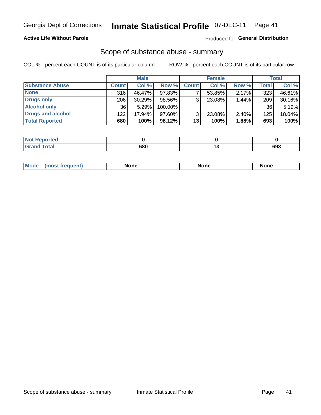## **Active Life Without Parole**

## **Produced for General Distribution**

## Scope of substance abuse - summary

COL % - percent each COUNT is of its particular column

|                        |              | <b>Male</b> |         |              | <b>Female</b> |          |              | <b>Total</b> |
|------------------------|--------------|-------------|---------|--------------|---------------|----------|--------------|--------------|
| <b>Substance Abuse</b> | <b>Count</b> | Col %       | Row %   | <b>Count</b> | Col %         | Row %    | <b>Total</b> | Col %        |
| <b>None</b>            | 316          | 46.47%      | 97.83%  |              | 53.85%        | 2.17%    | 323          | 46.61%       |
| Drugs only             | 206          | 30.29%      | 98.56%  |              | 23.08%        | 1.44%    | 209          | 30.16%       |
| <b>Alcohol only</b>    | 36           | 5.29%       | 100.00% |              |               |          | 36           | 5.19%        |
| Drugs and alcohol      | 122          | 17.94%      | 97.60%  |              | 23.08%        | $2.40\%$ | 125          | 18.04%       |
| <b>Total Reported</b>  | 680          | 100%        | 98.12%  | 13           | 100%          | 1.88%    | 693          | 100%         |

| <b>Not Reported</b> |     |     |
|---------------------|-----|-----|
| <b>Grand Total</b>  | 680 | 693 |

| nuem | <b>Mo</b> | None | <b>None</b> | None |
|------|-----------|------|-------------|------|
|------|-----------|------|-------------|------|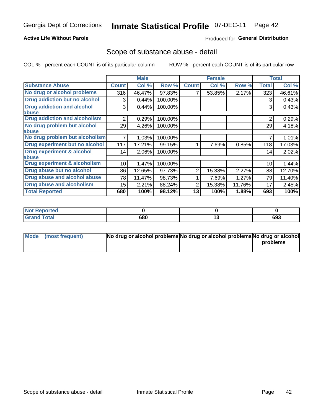## **Active Life Without Parole**

## **Produced for General Distribution**

## Scope of substance abuse - detail

COL % - percent each COUNT is of its particular column

|                                         |              | <b>Male</b> |         |              | <b>Female</b> |        |                | <b>Total</b> |
|-----------------------------------------|--------------|-------------|---------|--------------|---------------|--------|----------------|--------------|
| <b>Substance Abuse</b>                  | <b>Count</b> | Col %       | Row %   | <b>Count</b> | Col %         | Row %  | <b>Total</b>   | Col %        |
| No drug or alcohol problems             | 316          | 46.47%      | 97.83%  |              | 53.85%        | 2.17%  | 323            | 46.61%       |
| Drug addiction but no alcohol           | 3            | 0.44%       | 100.00% |              |               |        | 3              | 0.43%        |
| <b>Drug addiction and alcohol</b>       | 3            | 0.44%       | 100.00% |              |               |        | 3              | 0.43%        |
| <b>labuse</b>                           |              |             |         |              |               |        |                |              |
| <b>Drug addiction and alcoholism</b>    | 2            | 0.29%       | 100.00% |              |               |        | $\overline{2}$ | 0.29%        |
| No drug problem but alcohol             | 29           | 4.26%       | 100.00% |              |               |        | 29             | 4.18%        |
| abuse                                   |              |             |         |              |               |        |                |              |
| No drug problem but alcoholism          |              | 1.03%       | 100.00% |              |               |        |                | 1.01%        |
| Drug experiment but no alcohol          | 117          | 17.21%      | 99.15%  |              | 7.69%         | 0.85%  | 118            | 17.03%       |
| <b>Drug experiment &amp; alcohol</b>    | 14           | 2.06%       | 100.00% |              |               |        | 14             | 2.02%        |
| abuse                                   |              |             |         |              |               |        |                |              |
| <b>Drug experiment &amp; alcoholism</b> | 10           | 1.47%       | 100.00% |              |               |        | 10             | 1.44%        |
| Drug abuse but no alcohol               | 86           | 12.65%      | 97.73%  | 2            | 15.38%        | 2.27%  | 88             | 12.70%       |
| Drug abuse and alcohol abuse            | 78           | 11.47%      | 98.73%  |              | 7.69%         | 1.27%  | 79             | 11.40%       |
| <b>Drug abuse and alcoholism</b>        | 15           | 2.21%       | 88.24%  | 2            | 15.38%        | 11.76% | 17             | 2.45%        |
| <b>Total Reported</b>                   | 680          | 100%        | 98.12%  | 13           | 100%          | 1.88%  | 693            | 100%         |

| . Reported<br><b>NOT</b> |     |    |     |
|--------------------------|-----|----|-----|
| $\sim$                   | 680 | יי | 693 |

| Mode (most frequent) | No drug or alcohol problems No drug or alcohol problems No drug or alcohol |          |
|----------------------|----------------------------------------------------------------------------|----------|
|                      |                                                                            | problems |
|                      |                                                                            |          |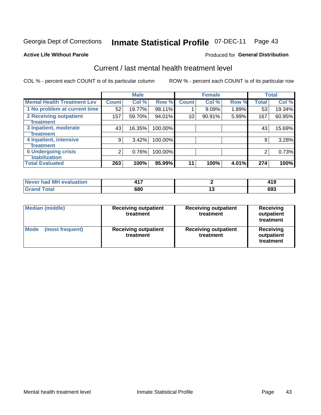#### **Inmate Statistical Profile 07-DEC-11** Page 43

### **Active Life Without Parole**

### Produced for General Distribution

# Current / last mental health treatment level

COL % - percent each COUNT is of its particular column

|                                           |              | <b>Male</b> |         |              | <b>Female</b> |       |              | <b>Total</b> |
|-------------------------------------------|--------------|-------------|---------|--------------|---------------|-------|--------------|--------------|
| <b>Mental Health Treatment Lev</b>        | <b>Count</b> | Col %       | Row %   | <b>Count</b> | Col %         | Row % | <b>Total</b> | Col %        |
| 1 No problem at current time              | 52           | 19.77%      | 98.11%  |              | 9.09%         | 1.89% | 53           | 19.34%       |
| 2 Receiving outpatient                    | 157          | 59.70%      | 94.01%  | 10           | 90.91%        | 5.99% | 167          | 60.95%       |
| <b>Treatment</b><br>3 Inpatient, moderate | 43           | 16.35%      | 100.00% |              |               |       | 43           | 15.69%       |
| Treatment                                 |              |             |         |              |               |       |              |              |
| 4 Inpatient, intensive                    | 9            | 3.42%       | 100.00% |              |               |       | 9            | 3.28%        |
| Treatment                                 |              |             |         |              |               |       |              |              |
| <b>5 Undergoing crisis</b>                | 2            | 0.76%       | 100.00% |              |               |       | 2            | 0.73%        |
| <b>stabilization</b>                      |              |             |         |              |               |       |              |              |
| <b>Total Evaluated</b>                    | 263          | 100%        | 95.99%  | 11           | 100%          | 4.01% | 274          | 100%         |

| evaluation   | .   |            | .     |
|--------------|-----|------------|-------|
| Never had MI |     |            | 4 J J |
| $f$ otol     | 680 | 1 v<br>$-$ | 69-   |

| <b>Median (middle)</b><br><b>Receiving outpatient</b><br>treatment |                                          | <b>Receiving outpatient</b><br>treatment | <b>Receiving</b><br>outpatient<br>treatment |  |
|--------------------------------------------------------------------|------------------------------------------|------------------------------------------|---------------------------------------------|--|
| <b>Mode</b><br>(most frequent)                                     | <b>Receiving outpatient</b><br>treatment | <b>Receiving outpatient</b><br>treatment | Receiving<br>outpatient<br>treatment        |  |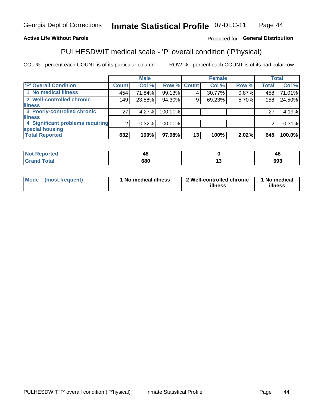#### **Inmate Statistical Profile 07-DEC-11** Page 44

## **Active Life Without Parole**

## Produced for General Distribution

# PULHESDWIT medical scale - 'P' overall condition ('P'hysical)

COL % - percent each COUNT is of its particular column

|                                  |                 | <b>Male</b> |                    |    | <b>Female</b> |       |              | <b>Total</b> |
|----------------------------------|-----------------|-------------|--------------------|----|---------------|-------|--------------|--------------|
| 'P' Overall Condition            | Count l         | Col %       | <b>Row % Count</b> |    | Col %         | Row % | <b>Total</b> | Col %        |
| 1 No medical illness             | 454             | 71.84%      | 99.13%             |    | 30.77%        | 0.87% | 458          | 71.01%       |
| 2 Well-controlled chronic        | 149             | 23.58%      | 94.30%             | 9  | 69.23%        | 5.70% | 158          | 24.50%       |
| <b>illness</b>                   |                 |             |                    |    |               |       |              |              |
| 3 Poorly-controlled chronic      | 27 <sub>1</sub> | 4.27%       | 100.00%            |    |               |       | 27           | 4.19%        |
| <b>illness</b>                   |                 |             |                    |    |               |       |              |              |
| 4 Significant problems requiring | 2 <sub>1</sub>  | 0.32%       | 100.00%            |    |               |       | 2            | 0.31%        |
| special housing                  |                 |             |                    |    |               |       |              |              |
| <b>Total Reported</b>            | 632             | 100%        | 97.98%             | 13 | 100%          | 2.02% | 645          | 100.0%       |

| --  | $\mathbf{H}$<br>T., |
|-----|---------------------|
| 680 | 693                 |

| <b>Mode</b> | (most frequent) | 1 No medical illness | 2 Well-controlled chronic<br>illness | 1 No medical<br>illness |
|-------------|-----------------|----------------------|--------------------------------------|-------------------------|
|-------------|-----------------|----------------------|--------------------------------------|-------------------------|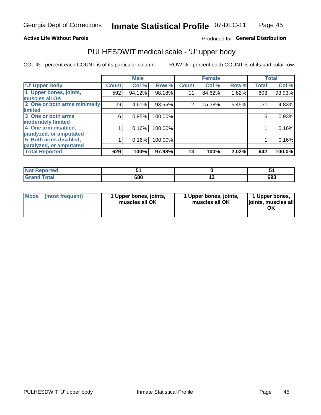## **Active Life Without Parole**

## Produced for General Distribution

# PULHESDWIT medical scale - 'U' upper body

COL % - percent each COUNT is of its particular column

|                              |              | <b>Male</b> |         |              | <b>Female</b> |       |              | <b>Total</b> |
|------------------------------|--------------|-------------|---------|--------------|---------------|-------|--------------|--------------|
| <b>'U' Upper Body</b>        | <b>Count</b> | Col %       | Row %   | <b>Count</b> | Col %         | Row % | <b>Total</b> | Col %        |
| 1 Upper bones, joints,       | 592          | 94.12%      | 98.18%  | 11           | 84.62%        | 1.82% | 603          | 93.93%       |
| muscles all OK               |              |             |         |              |               |       |              |              |
| 2 One or both arms minimally | 29           | 4.61%       | 93.55%  | 2            | 15.38%        | 6.45% | 31           | 4.83%        |
| limited                      |              |             |         |              |               |       |              |              |
| 3 One or both arms           | 6            | 0.95%       | 100.00% |              |               |       | 6            | 0.93%        |
| moderately limited           |              |             |         |              |               |       |              |              |
| 4 One arm disabled,          |              | 0.16%       | 100.00% |              |               |       |              | 0.16%        |
| paralyzed, or amputated      |              |             |         |              |               |       |              |              |
| 5 Both arms disabled,        |              | 0.16%       | 100.00% |              |               |       |              | 0.16%        |
| paralyzed, or amputated      |              |             |         |              |               |       |              |              |
| <b>Total Reported</b>        | 629          | 100%        | 97.98%  | 13           | 100%          | 2.02% | 642          | 100.0%       |

| <b>Not Reported</b> |     | --      |
|---------------------|-----|---------|
| <b>Grand Total</b>  | 680 | <br>693 |

|  | Mode (most frequent) | 1 Upper bones, joints,<br>muscles all OK | 1 Upper bones, joints,<br>muscles all OK | 1 Upper bones,<br>ljoints, muscles all<br>ΟK |
|--|----------------------|------------------------------------------|------------------------------------------|----------------------------------------------|
|--|----------------------|------------------------------------------|------------------------------------------|----------------------------------------------|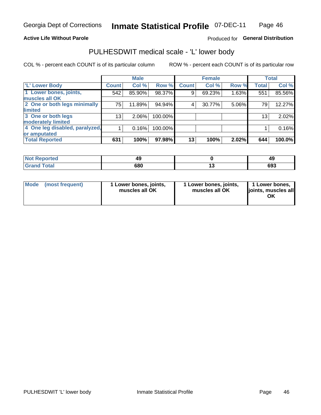## **Active Life Without Parole**

## Produced for General Distribution

# PULHESDWIT medical scale - 'L' lower body

COL % - percent each COUNT is of its particular column

|                                |                 | <b>Male</b> |         |              | <b>Female</b> |       |                 | <b>Total</b> |
|--------------------------------|-----------------|-------------|---------|--------------|---------------|-------|-----------------|--------------|
| 'L' Lower Body                 | <b>Count</b>    | Col %       | Row %   | <b>Count</b> | Col %         | Row % | <b>Total</b>    | Col %        |
| 1 Lower bones, joints,         | 542             | 85.90%      | 98.37%  | 9            | 69.23%        | 1.63% | 551             | 85.56%       |
| muscles all OK                 |                 |             |         |              |               |       |                 |              |
| 2 One or both legs minimally   | 75              | 11.89%      | 94.94%  | 4            | 30.77%        | 5.06% | 79              | 12.27%       |
| limited                        |                 |             |         |              |               |       |                 |              |
| 3 One or both legs             | 13 <sub>1</sub> | 2.06%       | 100.00% |              |               |       | 13 <sub>1</sub> | 2.02%        |
| moderately limited             |                 |             |         |              |               |       |                 |              |
| 4 One leg disabled, paralyzed, |                 | 0.16%       | 100.00% |              |               |       |                 | 0.16%        |
| or amputated                   |                 |             |         |              |               |       |                 |              |
| <b>Total Reported</b>          | 631             | 100%        | 97.98%  | 13           | 100%          | 2.02% | 644             | 100.0%       |

| <b>Not Reported</b> |     | 49  |
|---------------------|-----|-----|
| <b>Grand Total</b>  | 680 | 693 |

| Mode | (most frequent) | 1 Lower bones, joints,<br>muscles all OK | 1 Lower bones, joints,<br>muscles all OK | 1 Lower bones,<br>ljoints, muscles all<br>ΟK |
|------|-----------------|------------------------------------------|------------------------------------------|----------------------------------------------|
|------|-----------------|------------------------------------------|------------------------------------------|----------------------------------------------|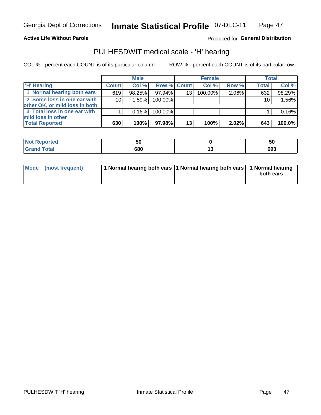## **Active Life Without Parole**

## Produced for General Distribution

## PULHESDWIT medical scale - 'H' hearing

COL % - percent each COUNT is of its particular column

|                                                               |                 | <b>Male</b> |             |                 | <b>Female</b> |          | <b>Total</b>    |        |
|---------------------------------------------------------------|-----------------|-------------|-------------|-----------------|---------------|----------|-----------------|--------|
| <b>H' Hearing</b>                                             | <b>Count</b>    | Col%        | Row % Count |                 | Col%          | Row %    | <b>Total</b>    | Col %  |
| 1 Normal hearing both ears                                    | 619             | 98.25%      | 97.94%      | 13              | $100.00\%$    | 2.06%    | 632             | 98.29% |
| 2 Some loss in one ear with<br>other OK, or mild loss in both | 10 <sup>1</sup> | 1.59%       | 100.00%     |                 |               |          | 10 <sub>1</sub> | 1.56%  |
| 3 Total loss in one ear with<br>mild loss in other            |                 | 0.16%       | 100.00%     |                 |               |          |                 | 0.16%  |
| <b>Total Reported</b>                                         | 630             | 100%        | 97.98%      | 13 <sub>1</sub> | 100%          | $2.02\%$ | 643             | 100.0% |

| rted                    | JL         | г о<br>ູບບ |
|-------------------------|------------|------------|
| $^{\circ}$ ntai<br>υιαι | con<br>ιοι | 693        |

| Mode (most frequent) | 1 Normal hearing both ears 1 Normal hearing both ears 1 Normal hearing | both ears |
|----------------------|------------------------------------------------------------------------|-----------|
|----------------------|------------------------------------------------------------------------|-----------|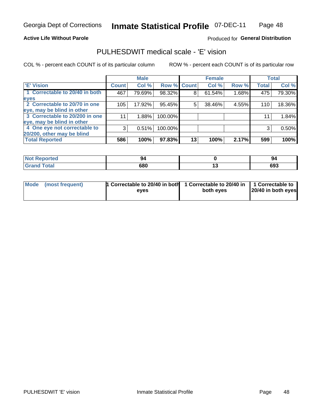**Active Life Without Parole** 

## Produced for General Distribution

## PULHESDWIT medical scale - 'E' vision

COL % - percent each COUNT is of its particular column

|                                |              | <b>Male</b> |         |                    | <b>Female</b> |       |              | <b>Total</b> |
|--------------------------------|--------------|-------------|---------|--------------------|---------------|-------|--------------|--------------|
| <b>E' Vision</b>               | <b>Count</b> | Col %       |         | <b>Row % Count</b> | Col %         | Row % | <b>Total</b> | Col %        |
| 1 Correctable to 20/40 in both | 467          | 79.69%      | 98.32%  | 8                  | 61.54%        | 1.68% | 475          | 79.30%       |
| eyes                           |              |             |         |                    |               |       |              |              |
| 2 Correctable to 20/70 in one  | 105          | 17.92%      | 95.45%  | 5                  | 38.46%        | 4.55% | 110          | 18.36%       |
| eye, may be blind in other     |              |             |         |                    |               |       |              |              |
| 3 Correctable to 20/200 in one | 11           | 1.88%       | 100.00% |                    |               |       | 11           | 1.84%        |
| eye, may be blind in other     |              |             |         |                    |               |       |              |              |
| 4 One eye not correctable to   | 3            | 0.51%       | 100.00% |                    |               |       | 3            | 0.50%        |
| 20/200, other may be blind     |              |             |         |                    |               |       |              |              |
| <b>Total Reported</b>          | 586          | 100%        | 97.83%  | 13                 | 100%          | 2.17% | 599          | 100%         |

| <b>Not Reported</b> |     | -94 |
|---------------------|-----|-----|
| <b>Total</b>        | 680 | 693 |

| Mode (most frequent) | <sup>1</sup> Correctable to 20/40 in both 1 Correctable to 20/40 in 1 Correctable to<br>eves | both eyes | 20/40 in both eyes |
|----------------------|----------------------------------------------------------------------------------------------|-----------|--------------------|
|                      |                                                                                              |           |                    |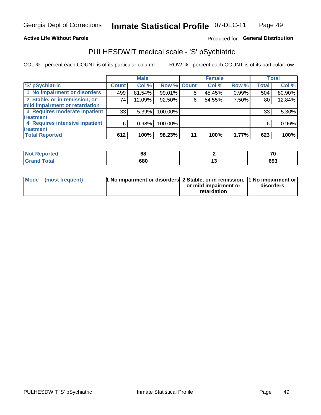## **Active Life Without Parole**

## Produced for General Distribution

# PULHESDWIT medical scale - 'S' pSychiatric

COL % - percent each COUNT is of its particular column

|                                |              | <b>Male</b> |             |    | <b>Female</b> |       |              | <b>Total</b> |
|--------------------------------|--------------|-------------|-------------|----|---------------|-------|--------------|--------------|
| 'S' pSychiatric                | <b>Count</b> | Col %       | Row % Count |    | Col %         | Row % | <b>Total</b> | Col %        |
| 1 No impairment or disorders   | 499          | 81.54%      | 99.01%      | 5  | 45.45%        | 0.99% | 504          | 80.90%       |
| 2 Stable, or in remission, or  | 74           | 12.09%      | 92.50%      | 6  | 54.55%        | 7.50% | 80           | 12.84%       |
| mild impairment or retardation |              |             |             |    |               |       |              |              |
| 3 Requires moderate inpatient  | 33           | 5.39%       | 100.00%     |    |               |       | 33           | 5.30%        |
| treatment                      |              |             |             |    |               |       |              |              |
| 4 Requires intensive inpatient | 6            | 0.98%       | 100.00%     |    |               |       | 6            | 0.96%        |
| treatment                      |              |             |             |    |               |       |              |              |
| <b>Total Reported</b>          | 612          | 100%        | 98.23%      | 11 | 100%          | 1.77% | 623          | 100%         |

| теа |              | 70  |
|-----|--------------|-----|
|     | 680<br>- - - | 693 |

| Mode (most frequent) | <sup>1</sup> No impairment or disorders 2 Stable, or in remission, <sup>1</sup> No impairment or |                       |           |
|----------------------|--------------------------------------------------------------------------------------------------|-----------------------|-----------|
|                      |                                                                                                  | or mild impairment or | disorders |
|                      |                                                                                                  | retardation           |           |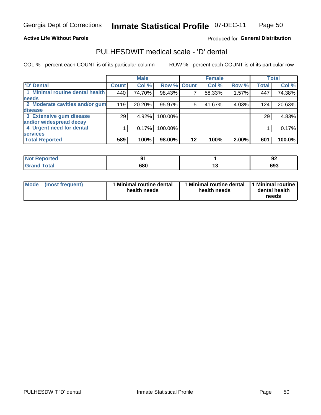## **Active Life Without Parole**

## Produced for General Distribution

# PULHESDWIT medical scale - 'D' dental

COL % - percent each COUNT is of its particular column

|                                 |              | <b>Male</b> |             |    | <b>Female</b> |       |              | <b>Total</b> |
|---------------------------------|--------------|-------------|-------------|----|---------------|-------|--------------|--------------|
| 'D' Dental                      | <b>Count</b> | Col %       | Row % Count |    | Col %         | Row % | <b>Total</b> | Col %        |
| 1 Minimal routine dental health | 440          | 74.70%      | 98.43%      |    | 58.33%        | 1.57% | 447          | 74.38%       |
| <b>needs</b>                    |              |             |             |    |               |       |              |              |
| 2 Moderate cavities and/or gum  | 119          | 20.20%      | 95.97%      | 5  | 41.67%        | 4.03% | 124          | 20.63%       |
| disease                         |              |             |             |    |               |       |              |              |
| 3 Extensive gum disease         | 29           | 4.92%       | 100.00%     |    |               |       | 29           | 4.83%        |
| and/or widespread decay         |              |             |             |    |               |       |              |              |
| 4 Urgent need for dental        |              | 0.17%       | 100.00%     |    |               |       |              | 0.17%        |
| <b>services</b>                 |              |             |             |    |               |       |              |              |
| <b>Total Reported</b>           | 589          | 100%        | 98.00%      | 12 | 100%          | 2.00% | 601          | 100.0%       |

| <b>Construction Construction</b><br>rted<br>N.<br>. |     |           | . .<br>◡ |  |
|-----------------------------------------------------|-----|-----------|----------|--|
| $F0+0$                                              | 680 | 1 V<br>__ | 693      |  |

| Mode | (most frequent) | <b>Minimal routine dental</b><br>health needs | 1 Minimal routine dental 1 Minimal routine<br>health needs | dental health<br>needs |
|------|-----------------|-----------------------------------------------|------------------------------------------------------------|------------------------|
|------|-----------------|-----------------------------------------------|------------------------------------------------------------|------------------------|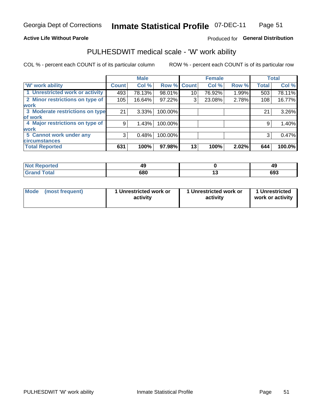## **Active Life Without Parole**

## Produced for General Distribution

# PULHESDWIT medical scale - 'W' work ability

COL % - percent each COUNT is of its particular column

|                                 |              | <b>Male</b> |         |             | <b>Female</b> |       |              | <b>Total</b> |
|---------------------------------|--------------|-------------|---------|-------------|---------------|-------|--------------|--------------|
| <b>W' work ability</b>          | <b>Count</b> | Col %       |         | Row % Count | Col %         | Row % | <b>Total</b> | Col %        |
| 1 Unrestricted work or activity | 493          | 78.13%      | 98.01%  | 10          | 76.92%        | 1.99% | 503          | 78.11%       |
| 2 Minor restrictions on type of | 105          | 16.64%      | 97.22%  | 3           | 23.08%        | 2.78% | 108          | 16.77%       |
| <b>work</b>                     |              |             |         |             |               |       |              |              |
| 3 Moderate restrictions on type | 21           | $3.33\%$    | 100.00% |             |               |       | 21           | 3.26%        |
| of work                         |              |             |         |             |               |       |              |              |
| 4 Major restrictions on type of | 9            | 1.43%       | 100.00% |             |               |       | 9            | 1.40%        |
| <b>work</b>                     |              |             |         |             |               |       |              |              |
| 5 Cannot work under any         | 3            | 0.48%       | 100.00% |             |               |       | 3            | 0.47%        |
| <b>circumstances</b>            |              |             |         |             |               |       |              |              |
| <b>Total Reported</b>           | 631          | 100%        | 97.98%  | 13          | 100%          | 2.02% | 644          | 100.0%       |

| <b>Not Reported</b><br>49 |     | ДC<br>- 3 |  |
|---------------------------|-----|-----------|--|
| <b>Grand Total</b>        | 680 | 693       |  |

| <b>Mode</b>     | 1 Unrestricted work or | 1 Unrestricted work or | 1 Unrestricted   |
|-----------------|------------------------|------------------------|------------------|
| (most frequent) | activity               | activity               | work or activity |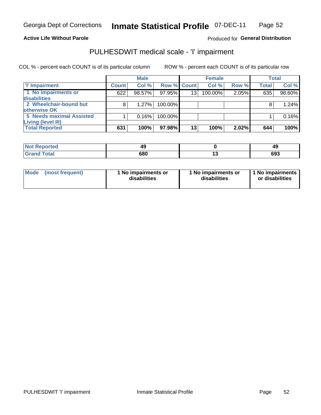### **Active Life Without Parole**

### Produced for General Distribution

## PULHESDWIT medical scale - 'I' impairment

COL % - percent each COUNT is of its particular column ROW % - percent each COUNT is of its particular row

**Male Female Total T** Impairment **Count Count** Col % Row % Col % Row % **Total** Col % 1 No impairments or 97.95% 100.00% 98.60%  $622$ 98.57%  $\overline{13}$ 2.05%  $635$ disabilities 2 Wheelchair-bound but  $\overline{8}$ 1.27% 100.00%  $\overline{8}$  $1.24%$ otherwise OK 5 Needs maximal Assisted  $\overline{1}$ 0.16% 100.00%  $\overline{1}$ 0.16% **Living (level III) Total Reported**  $631$ 100% 97.98%  $\overline{13}$ 100%  $2.02%$  $644$ 100%

| Reported     | 49  | 49  |  |
|--------------|-----|-----|--|
| <b>Total</b> | 680 | 693 |  |

| <b>Mode</b>     | 1 No impairments or | 1 No impairments or | 1 No impairments |
|-----------------|---------------------|---------------------|------------------|
| (most frequent) | disabilities        | disabilities        | or disabilities  |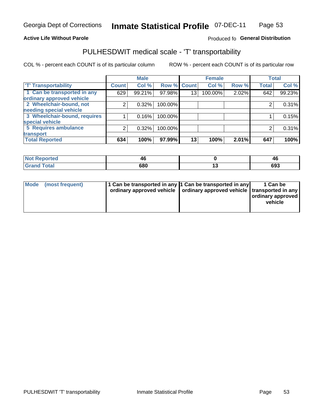## **Active Life Without Parole**

## Produced fo General Distribution

# PULHESDWIT medical scale - 'T' transportability

COL % - percent each COUNT is of its particular column

|                              |              | <b>Male</b> |         |             | <b>Female</b> |       |              | <b>Total</b> |
|------------------------------|--------------|-------------|---------|-------------|---------------|-------|--------------|--------------|
| <b>T' Transportability</b>   | <b>Count</b> | Col %       |         | Row % Count | Col %         | Row % | <b>Total</b> | Col %        |
| 1 Can be transported in any  | 629          | 99.21%      | 97.98%  | 13          | 100.00%       | 2.02% | 642          | 99.23%       |
| ordinary approved vehicle    |              |             |         |             |               |       |              |              |
| 2 Wheelchair-bound, not      | 2            | 0.32%       | 100.00% |             |               |       |              | 0.31%        |
| needing special vehicle      |              |             |         |             |               |       |              |              |
| 3 Wheelchair-bound, requires |              | 0.16%       | 100.00% |             |               |       |              | 0.15%        |
| special vehicle              |              |             |         |             |               |       |              |              |
| 5 Requires ambulance         | 2            | 0.32%       | 100.00% |             |               |       |              | 0.31%        |
| transport                    |              |             |         |             |               |       |              |              |
| <b>Total Reported</b>        | 634          | 100%        | 97.99%  | 13          | 100%          | 2.01% | 647          | 100%         |

| w<br>ported<br>4ς |     | ⁄1 I<br>≖ч |  |
|-------------------|-----|------------|--|
|                   | 680 | 693        |  |

| <b>Mode</b> | (most frequent) | 1 Can be transported in any 1 Can be transported in any | ordinary approved vehicle   ordinary approved vehicle   transported in any | 1 Can be<br>  ordinary approved  <br>vehicle |
|-------------|-----------------|---------------------------------------------------------|----------------------------------------------------------------------------|----------------------------------------------|
|-------------|-----------------|---------------------------------------------------------|----------------------------------------------------------------------------|----------------------------------------------|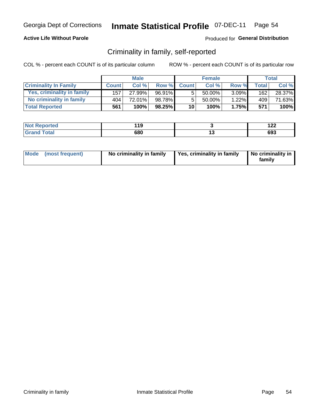## **Active Life Without Parole**

## Produced for General Distribution

## Criminality in family, self-reported

COL % - percent each COUNT is of its particular column

|                              |              | <b>Male</b> |        |                 | <b>Female</b> |          |       | Total  |
|------------------------------|--------------|-------------|--------|-----------------|---------------|----------|-------|--------|
| <b>Criminality In Family</b> | <b>Count</b> | Col%        | Row %  | <b>Count</b>    | Col %         | Row %    | Total | Col %  |
| Yes, criminality in family   | 157          | 27.99%      | 96.91% | 5               | $50.00\%$     | $3.09\%$ | 162   | 28.37% |
| No criminality in family     | 404          | 72.01%      | 98.78% | 5               | 50.00%        | 1.22%    | 409   | 71.63% |
| <b>Total Reported</b>        | 561          | 100%        | 98.25% | 10 <sup>1</sup> | 100%          | 1.75%    | 571   | 100%   |

| Reported<br><b>NOT</b> | 44 C<br>. . | י ה<br>175 |
|------------------------|-------------|------------|
| <b>Total</b>           | 680         | 693        |

|  | Mode (most frequent) | No criminality in family | Yes, criminality in family | No criminality in<br>family |
|--|----------------------|--------------------------|----------------------------|-----------------------------|
|--|----------------------|--------------------------|----------------------------|-----------------------------|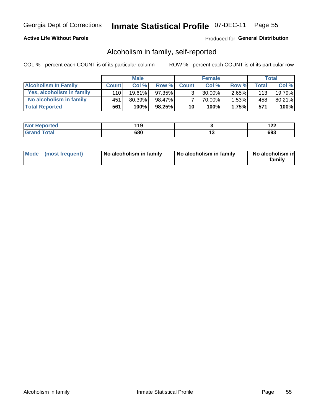## **Active Life Without Parole**

## Produced for General Distribution

## Alcoholism in family, self-reported

COL % - percent each COUNT is of its particular column

|                             |              | <b>Male</b> |        |                 | <b>Female</b> |          |              | Total  |
|-----------------------------|--------------|-------------|--------|-----------------|---------------|----------|--------------|--------|
| <b>Alcoholism In Family</b> | <b>Count</b> | Col%        | Row %  | <b>Count</b>    | Col %         | Row %    | <b>Total</b> | Col %  |
| Yes, alcoholism in family   | 110 l        | $19.61\%$   | 97.35% | ર               | 30.00%        | $2.65\%$ | 113          | 19.79% |
| No alcoholism in family     | 451          | $80.39\%$   | 98.47% |                 | 70.00%        | $1.53\%$ | 458          | 80.21% |
| <b>Total Reported</b>       | 561          | 100%        | 98.25% | 10 <sup>1</sup> | 100%          | 1.75%    | 571          | 100%   |

| <b>Not Reported</b>     | 140<br>13 |     | ' <i>' ' '</i> |
|-------------------------|-----------|-----|----------------|
| <b>Total</b><br>' Grano | 680       | . v | 693            |

|  | Mode (most frequent) | No alcoholism in family | No alcoholism in family | No alcoholism in<br>family |
|--|----------------------|-------------------------|-------------------------|----------------------------|
|--|----------------------|-------------------------|-------------------------|----------------------------|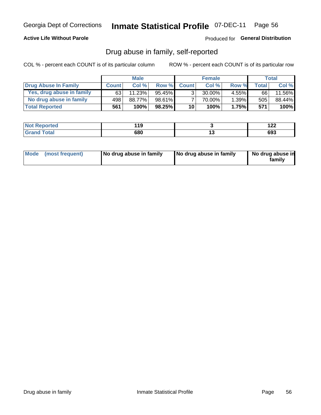## **Active Life Without Parole**

## Produced for General Distribution

## Drug abuse in family, self-reported

COL % - percent each COUNT is of its particular column

|                           |              | <b>Male</b> |           |                 | <b>Female</b> |          |       | Total  |
|---------------------------|--------------|-------------|-----------|-----------------|---------------|----------|-------|--------|
| Drug Abuse In Family      | <b>Count</b> | Col%        | Row %     | <b>Count</b>    | Col%          | Row %    | Total | Col %  |
| Yes, drug abuse in family | 63           | 11.23%      | 95.45%    | 3 <sub>1</sub>  | $30.00\%$     | $4.55\%$ | 66    | 11.56% |
| No drug abuse in family   | 498 l        | 88.77%      | $98.61\%$ |                 | 70.00%        | 1.39%    | 505   | 88.44% |
| <b>Total Reported</b>     | 561          | 100%        | $98.25\%$ | 10 <sup>1</sup> | 100%          | 1.75%    | 571   | 100%   |

| Reported<br><b>NOT</b> | 44 C<br>. . | י ה<br>175 |
|------------------------|-------------|------------|
| <b>Total</b>           | 680         | 693        |

|  | Mode (most frequent) | No drug abuse in family | No drug abuse in family | No drug abuse in<br>family |
|--|----------------------|-------------------------|-------------------------|----------------------------|
|--|----------------------|-------------------------|-------------------------|----------------------------|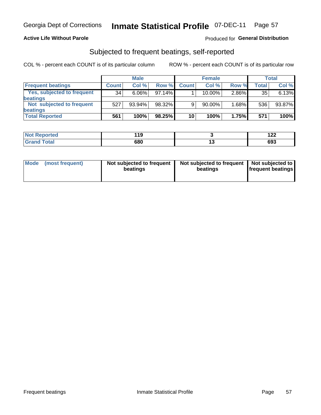## **Active Life Without Parole**

## Produced for General Distribution

## Subjected to frequent beatings, self-reported

COL % - percent each COUNT is of its particular column

|                            |              | <b>Male</b> |           |              | <b>Female</b> |       |       | Total  |
|----------------------------|--------------|-------------|-----------|--------------|---------------|-------|-------|--------|
| <b>Frequent beatings</b>   | <b>Count</b> | Col %       | Row %     | <b>Count</b> | Col %         | Row % | Total | Col %  |
| Yes, subjected to frequent | 34           | $6.06\%$    | 97.14%    |              | 10.00%        | 2.86% | 35    | 6.13%  |
| <b>beatings</b>            |              |             |           |              |               |       |       |        |
| Not subjected to frequent  | 527          | 93.94%      | 98.32%    | 9            | 90.00%        | 1.68% | 536   | 93.87% |
| <b>beatings</b>            |              |             |           |              |               |       |       |        |
| <b>Total Reported</b>      | 561          | 100%        | $98.25\%$ | 10           | 100%          | 1.75% | 571   | 100%   |

| <b>Not Reported</b> | 14 C<br>. . |     | ,<br>1 Z Z |
|---------------------|-------------|-----|------------|
| <b>Grand Total</b>  | 680         | . . | 693        |

| Mode (most frequent) | Not subjected to frequent<br>beatings | Not subjected to frequent<br>beatings | Not subjected to<br><b>frequent beatings</b> |
|----------------------|---------------------------------------|---------------------------------------|----------------------------------------------|
|                      |                                       |                                       |                                              |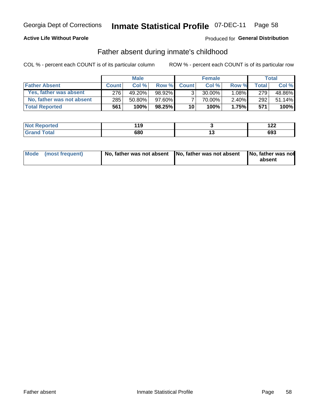## **Active Life Without Parole**

## **Produced for General Distribution**

## Father absent during inmate's childhood

COL % - percent each COUNT is of its particular column

|                           |              | <b>Male</b> |           |                 | <b>Female</b> |          |         | Total   |
|---------------------------|--------------|-------------|-----------|-----------------|---------------|----------|---------|---------|
| <b>Father Absent</b>      | <b>Count</b> | Col%        | Row %     | <b>Count</b>    | Col %         | Row %    | Total i | Col %   |
| Yes, father was absent    | 276          | 49.20%      | 98.92%    | 3 <sub>1</sub>  | $30.00\%$     | $1.08\%$ | 279     | 48.86%  |
| No, father was not absent | 285          | $50.80\%$   | 97.60%    |                 | 70.00%        | $2.40\%$ | 292     | 51.14%  |
| <b>Total Reported</b>     | 561          | 100%        | $98.25\%$ | 10 <sup>1</sup> | 100%          | 1.75%    | 571     | $100\%$ |

| <b>Not Reported</b>    | 14 C<br>. . | 1 Ł Ł |
|------------------------|-------------|-------|
| <b>Total</b><br>'Grand | 680         | 693   |

|  | Mode (most frequent) | No, father was not absent No, father was not absent |  | No, father was not<br>absent |
|--|----------------------|-----------------------------------------------------|--|------------------------------|
|--|----------------------|-----------------------------------------------------|--|------------------------------|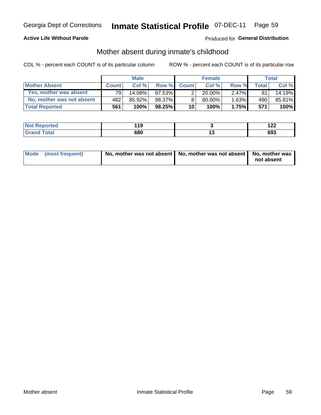## **Active Life Without Parole**

## **Produced for General Distribution**

## Mother absent during inmate's childhood

COL % - percent each COUNT is of its particular column

|                           |              | <b>Male</b> |           |                 | <b>Female</b> |          |              | Total  |
|---------------------------|--------------|-------------|-----------|-----------------|---------------|----------|--------------|--------|
| <b>Mother Absent</b>      | <b>Count</b> | Col%        | Row %     | <b>Count</b>    | Col %         | Row %    | <b>Total</b> | Col %  |
| Yes, mother was absent    | 791          | $14.08\%$   | $97.53\%$ | 2 <sub>1</sub>  | $20.00\%$     | $2.47\%$ | 81           | 14.19% |
| No, mother was not absent | 482          | 85.92%      | 98.37%    | 8               | 80.00%        | $1.63\%$ | 490          | 85.81% |
| <b>Total Reported</b>     | 561          | 100%        | $98.25\%$ | 10 <sup>1</sup> | 100%          | 1.75%    | 571          | 100%   |

| <b>Not Reported</b> | 11 C<br> | ה הו<br>144 |
|---------------------|----------|-------------|
| <b>Total</b>        | 680      | 693         |

| Mode (most frequent) | No, mother was not absent   No, mother was not absent   No, mother was | not absent |
|----------------------|------------------------------------------------------------------------|------------|
|----------------------|------------------------------------------------------------------------|------------|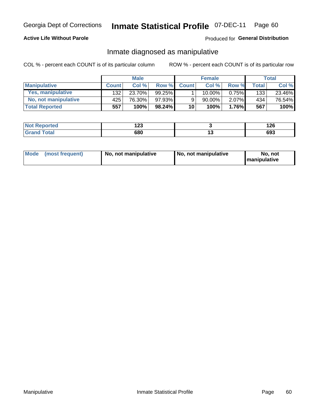## **Active Life Without Parole**

## Produced for General Distribution

## Inmate diagnosed as manipulative

COL % - percent each COUNT is of its particular column

|                       |              | <b>Male</b> |           |              | <b>Female</b> |          |       | Total  |
|-----------------------|--------------|-------------|-----------|--------------|---------------|----------|-------|--------|
| <b>Manipulative</b>   | <b>Count</b> | Col %       | Row %     | <b>Count</b> | Col %         | Row %    | Total | Col %  |
| Yes, manipulative     | 132          | 23.70%      | $99.25\%$ |              | $10.00\%$ .   | $0.75\%$ | 133   | 23.46% |
| No, not manipulative  | 425'         | 76.30%      | 97.93%    | 9            | 90.00%        | $2.07\%$ | 434   | 76.54% |
| <b>Total Reported</b> | 557          | 100%        | 98.24%    | 10           | 100%          | 1.76%    | 567   | 100%   |

| <b>Not Reported</b>    | 1 A A<br>≀∠J |     | 1 ገር<br>14 U |
|------------------------|--------------|-----|--------------|
| <b>Cotal</b><br>'Grand | 680          | . . | 693          |

|  | Mode (most frequent) | No, not manipulative | No, not manipulative | No. not<br><b>I</b> manipulative |
|--|----------------------|----------------------|----------------------|----------------------------------|
|--|----------------------|----------------------|----------------------|----------------------------------|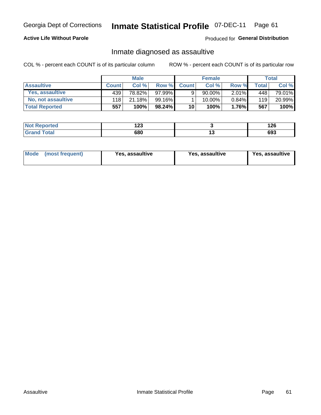# Inmate Statistical Profile 07-DEC-11 Page 61

## **Active Life Without Parole**

Produced for General Distribution

## Inmate diagnosed as assaultive

COL % - percent each COUNT is of its particular column

|                       |              | <b>Male</b> |        |              | <b>Female</b> |          |       | Total  |
|-----------------------|--------------|-------------|--------|--------------|---------------|----------|-------|--------|
| <b>Assaultive</b>     | <b>Count</b> | Col%        | Row %  | <b>Count</b> | Col%          | Row %    | Total | Col %  |
| Yes, assaultive       | 439          | 78.82%      | 97.99% | 9            | 90.00%        | $2.01\%$ | 448   | 79.01% |
| No, not assaultive    | 118          | 21.18%      | 99.16% |              | $10.00\%$ .   | 0.84%    | 119   | 20.99% |
| <b>Total Reported</b> | 557          | 100%        | 98.24% | 10           | 100%          | $1.76\%$ | 567   | 100%   |

| <b>Not</b>            | ,    |     | מר ו |
|-----------------------|------|-----|------|
| Reported              | . 20 |     | .ZO  |
| <b>otal</b><br>______ | 680  | $-$ | 693  |

| <b>Mode</b> | (most frequent) | <b>Yes, assaultive</b> | <b>Yes, assaultive</b> | Yes, assaultive |
|-------------|-----------------|------------------------|------------------------|-----------------|
|-------------|-----------------|------------------------|------------------------|-----------------|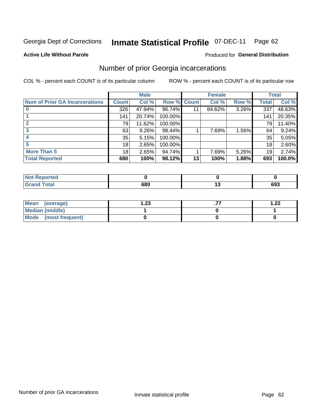#### **Inmate Statistical Profile 07-DEC-11** Page 62

### **Active Life Without Parole**

### Produced for General Distribution

## Number of prior Georgia incarcerations

COL % - percent each COUNT is of its particular column

|                                       |              | <b>Male</b> |                    |    | <b>Female</b> |          |              | <b>Total</b> |
|---------------------------------------|--------------|-------------|--------------------|----|---------------|----------|--------------|--------------|
| <b>Num of Prior GA Incarcerations</b> | <b>Count</b> | Col %       | <b>Row % Count</b> |    | Col %         | Row %    | <b>Total</b> | Col %        |
|                                       | 326          | 47.94%      | 96.74%             |    | 84.62%        | $3.26\%$ | 337          | 48.63%       |
|                                       | 141          | 20.74%      | 100.00%            |    |               |          | 141          | 20.35%       |
|                                       | 79           | 11.62%      | 100.00%            |    |               |          | 79           | 11.40%       |
|                                       | 63           | $9.26\%$    | 98.44%             |    | 7.69%         | 1.56%    | 64           | 9.24%        |
|                                       | 35           | 5.15%       | 100.00%            |    |               |          | 35           | 5.05%        |
|                                       | 18           | 2.65%       | 100.00%            |    |               |          | 18           | 2.60%        |
| <b>More Than 5</b>                    | 18           | 2.65%       | 94.74%             |    | 7.69%         | 5.26%    | 19           | 2.74%        |
| <b>Total Reported</b>                 | 680          | 100%        | 98.12%             | 13 | 100%          | 1.88%    | 693          | 100.0%       |

| a telo      |     |     |
|-------------|-----|-----|
| <b>otal</b> | 680 | 693 |

| Mean (average)       | 1.23 | 1.22 |
|----------------------|------|------|
| Median (middle)      |      |      |
| Mode (most frequent) |      |      |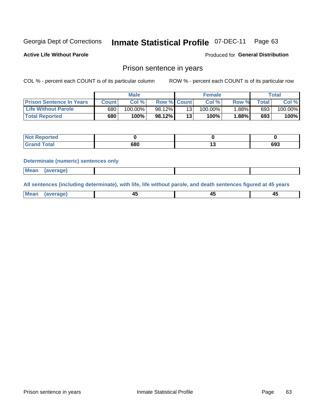#### Inmate Statistical Profile 07-DEC-11 Page 63

**Active Life Without Parole** 

Produced for General Distribution

## Prison sentence in years

COL % - percent each COUNT is of its particular column

ROW % - percent each COUNT is of its particular row

|                                 | <b>Male</b> |            |                    | <b>Female</b> |            |       | $\tau$ otal |            |
|---------------------------------|-------------|------------|--------------------|---------------|------------|-------|-------------|------------|
| <b>Prison Sentence In Years</b> | Count       | Col %      | <b>Row % Count</b> |               | Col%       | Row % | Total       | Col %      |
| <b>Life Without Parole</b>      | 680         | $100.00\%$ | 98.12%             |               | $100.00\%$ | 1.88% | 693         | $100.00\%$ |
| <b>Total Reported</b>           | 680         | 100%       | 98.12%             | 13            | 100%       | 1.88% | 693         | 100%       |

| <b>Not Reported</b> |     |     |
|---------------------|-----|-----|
| <b>Grand Total</b>  | 680 | 693 |

### **Determinate (numeric) sentences only**

| <b>Mean</b><br>(average) |  |  |
|--------------------------|--|--|
|                          |  |  |

All sentences (including determinate), with life, life without parole, and death sentences figured at 45 years

| $M$ ea<br>(average) | $\sim$ | ,,<br>т. |
|---------------------|--------|----------|
|                     |        |          |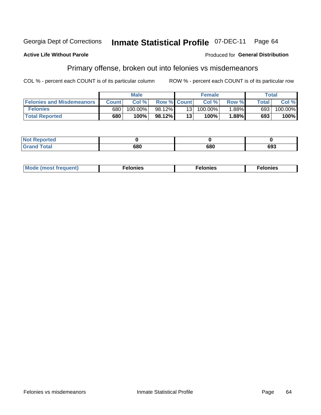#### **Inmate Statistical Profile 07-DEC-11** Georgia Dept of Corrections Page 64

### **Active Life Without Parole**

### Produced for General Distribution

# Primary offense, broken out into felonies vs misdemeanors

COL % - percent each COUNT is of its particular column

|                                  |              | <b>Male</b> |                    |                 | <b>Female</b> |       |              | Total      |
|----------------------------------|--------------|-------------|--------------------|-----------------|---------------|-------|--------------|------------|
| <b>Felonies and Misdemeanors</b> | <b>Count</b> | Col%        | <b>Row % Count</b> |                 | Col%          | Row % | <b>Total</b> | Col %      |
| <b>Felonies</b>                  | 680          | 100.00%     | 98.12%             | 13 <sub>1</sub> | $100.00\%$    | 1.88% | 693          | $100.00\%$ |
| <b>Total Reported</b>            | 680          | $100\%$     | 98.12%             | 13              | 100%          | .88%  | 693          | 100%       |

| <b>Not Reported</b>        |            |     |     |
|----------------------------|------------|-----|-----|
| <b>Total</b><br>Grand<br>u | con<br>υου | 680 | 693 |

| <b>Mode</b><br>frequent)<br>nies<br>≧ (most tr.<br>. | onies<br>. | lonies<br>енл<br>____ |
|------------------------------------------------------|------------|-----------------------|
|------------------------------------------------------|------------|-----------------------|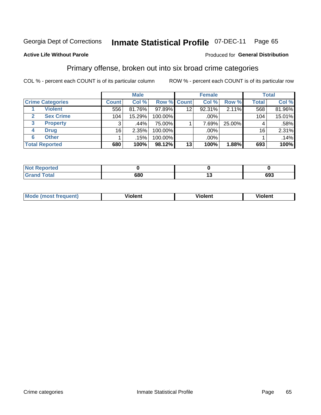#### **Inmate Statistical Profile 07-DEC-11** Page 65

## **Active Life Without Parole**

### Produced for General Distribution

## Primary offense, broken out into six broad crime categories

COL % - percent each COUNT is of its particular column

|                         |              | <b>Male</b> |         |             | <b>Female</b> |          |              | <b>Total</b> |
|-------------------------|--------------|-------------|---------|-------------|---------------|----------|--------------|--------------|
| <b>Crime Categories</b> | <b>Count</b> | Col %       |         | Row % Count | Col %         | Row %    | <b>Total</b> | Col %        |
| <b>Violent</b>          | 556          | 81.76%      | 97.89%  | 12          | 92.31%        | 2.11%    | 568          | 81.96%       |
| <b>Sex Crime</b><br>2   | 104          | 15.29%      | 100.00% |             | .00%          |          | 104          | 15.01%       |
| <b>Property</b><br>3    | 3            | .44%        | 75.00%  |             | 7.69%         | 25.00%   | 4            | .58%         |
| <b>Drug</b><br>4        | 16           | 2.35%       | 100.00% |             | .00%          |          | 16           | 2.31%        |
| <b>Other</b><br>6       |              | .15%        | 100.00% |             | .00%          |          |              | .14%         |
| <b>Total Reported</b>   | 680          | 100%        | 98.12%  | 13          | 100%          | $1.88\%$ | 693          | 100%         |

| <b>Not Reported</b> |     |     |
|---------------------|-----|-----|
| <b>Total</b>        | 680 | 693 |

| М | ,,, | - -- -<br>וחו | m |
|---|-----|---------------|---|
|   |     |               |   |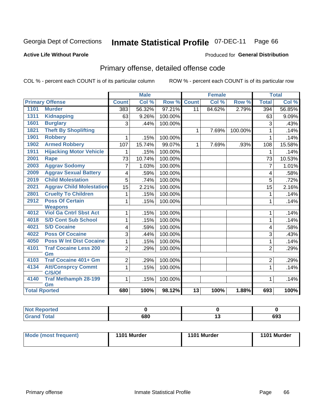#### **Inmate Statistical Profile 07-DEC-11** Page 66

## **Active Life Without Parole**

### Produced for General Distribution

# Primary offense, detailed offense code

COL % - percent each COUNT is of its particular column

|                      |                                     |                 | <b>Male</b> |         |                 | <b>Female</b> |         | <b>Total</b>   |        |
|----------------------|-------------------------------------|-----------------|-------------|---------|-----------------|---------------|---------|----------------|--------|
|                      | <b>Primary Offense</b>              | <b>Count</b>    | Col %       | Row %   | <b>Count</b>    | Col %         | Row %   | <b>Total</b>   | Col %  |
| 1101                 | <b>Murder</b>                       | 383             | 56.32%      | 97.21%  | $\overline{11}$ | 84.62%        | 2.79%   | 394            | 56.85% |
| 1311                 | <b>Kidnapping</b>                   | 63              | 9.26%       | 100.00% |                 |               |         | 63             | 9.09%  |
| 1601                 | <b>Burglary</b>                     | 3               | .44%        | 100.00% |                 |               |         | 3              | .43%   |
| 1821                 | <b>Theft By Shoplifting</b>         |                 |             |         | $\mathbf{1}$    | 7.69%         | 100.00% | 1              | .14%   |
| 1901                 | <b>Robbery</b>                      |                 | .15%        | 100.00% |                 |               |         | 1              | .14%   |
| 1902                 | <b>Armed Robbery</b>                | 107             | 15.74%      | 99.07%  | $\mathbf{1}$    | 7.69%         | .93%    | 108            | 15.58% |
| 1911                 | <b>Hijacking Motor Vehicle</b>      |                 | .15%        | 100.00% |                 |               |         | 1              | .14%   |
| 2001                 | <b>Rape</b>                         | 73              | 10.74%      | 100.00% |                 |               |         | 73             | 10.53% |
| 2003                 | <b>Aggrav Sodomy</b>                | 7               | 1.03%       | 100.00% |                 |               |         | $\overline{7}$ | 1.01%  |
| 2009                 | <b>Aggrav Sexual Battery</b>        | 4               | .59%        | 100.00% |                 |               |         | 4              | .58%   |
| 2019                 | <b>Child Molestation</b>            | 5               | .74%        | 100.00% |                 |               |         | 5              | .72%   |
| 2021                 | <b>Aggrav Child Molestation</b>     | $\overline{15}$ | 2.21%       | 100.00% |                 |               |         | 15             | 2.16%  |
| 2801                 | <b>Cruelty To Children</b>          | 1               | .15%        | 100.00% |                 |               |         | 1              | .14%   |
| 2912                 | <b>Poss Of Certain</b>              | 1               | .15%        | 100.00% |                 |               |         | 1              | .14%   |
|                      | <b>Weapons</b>                      |                 |             |         |                 |               |         |                |        |
| 4012                 | <b>Viol Ga Cntrl Sbst Act</b>       | 1               | .15%        | 100.00% |                 |               |         | 1              | .14%   |
| 4018                 | <b>S/D Cont Sub School</b>          | 1               | .15%        | 100.00% |                 |               |         | 1              | .14%   |
| 4021                 | <b>S/D Cocaine</b>                  | 4               | .59%        | 100.00% |                 |               |         | 4              | .58%   |
| 4022                 | <b>Poss Of Cocaine</b>              | 3               | .44%        | 100.00% |                 |               |         | 3              | .43%   |
| 4050                 | <b>Poss W Int Dist Cocaine</b>      | 1               | .15%        | 100.00% |                 |               |         | 1              | .14%   |
| 4101                 | <b>Traf Cocaine Less 200</b>        | $\overline{2}$  | .29%        | 100.00% |                 |               |         | $\overline{2}$ | .29%   |
|                      | Gm                                  |                 |             |         |                 |               |         |                |        |
| 4103                 | <b>Traf Cocaine 401+ Gm</b>         | 2               | .29%        | 100.00% |                 |               |         | $\overline{2}$ | .29%   |
| 4134                 | <b>Att/Consprcy Commt</b><br>C/S/Of | 1               | .15%        | 100.00% |                 |               |         | $\mathbf{1}$   | .14%   |
| 4140                 | <b>Traf Methamph 28-199</b>         | 1               | .15%        | 100.00% |                 |               |         | 1              | .14%   |
|                      | Gm                                  |                 |             |         |                 |               |         |                |        |
| <b>Total Rported</b> |                                     | 680             | 100%        | 98.12%  | $\overline{13}$ | 100%          | 1.88%   | 693            | 100%   |

| <b>tea</b><br>. |     |                |
|-----------------|-----|----------------|
| المقماء         | con | <br><b>000</b> |
| ______          | υου | ხუე            |

| Mode (most frequent) | 1101 Murder | 1101 Murder | 1101 Murder |
|----------------------|-------------|-------------|-------------|
|----------------------|-------------|-------------|-------------|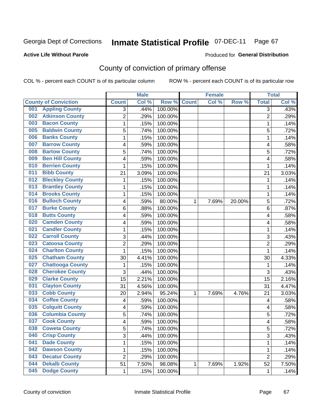## **Active Life Without Parole**

### Produced for **General Distribution**

# County of conviction of primary offense

|                                |                | <b>Male</b> |                  |              | <b>Female</b> |        |                | <b>Total</b> |
|--------------------------------|----------------|-------------|------------------|--------------|---------------|--------|----------------|--------------|
| <b>County of Conviction</b>    | <b>Count</b>   | Col %       | Row <sup>%</sup> | <b>Count</b> | Col %         | Row %  | <b>Total</b>   | Col%         |
| <b>Appling County</b><br>001   | 3              | .44%        | 100.00%          |              |               |        | 3              | .43%         |
| <b>Atkinson County</b><br>002  | $\overline{2}$ | .29%        | 100.00%          |              |               |        | $\overline{2}$ | .29%         |
| <b>Bacon County</b><br>003     | 1              | .15%        | 100.00%          |              |               |        | 1              | .14%         |
| <b>Baldwin County</b><br>005   | 5              | .74%        | 100.00%          |              |               |        | 5              | .72%         |
| <b>Banks County</b><br>006     | 1              | .15%        | 100.00%          |              |               |        | $\mathbf{1}$   | .14%         |
| <b>Barrow County</b><br>007    | 4              | .59%        | 100.00%          |              |               |        | 4              | .58%         |
| <b>Bartow County</b><br>008    | 5              | .74%        | 100.00%          |              |               |        | 5              | .72%         |
| <b>Ben Hill County</b><br>009  | 4              | .59%        | 100.00%          |              |               |        | 4              | .58%         |
| <b>Berrien County</b><br>010   | 1              | .15%        | 100.00%          |              |               |        | 1              | .14%         |
| <b>Bibb County</b><br>011      | 21             | 3.09%       | 100.00%          |              |               |        | 21             | 3.03%        |
| <b>Bleckley County</b><br>012  | 1              | .15%        | 100.00%          |              |               |        | 1              | .14%         |
| <b>Brantley County</b><br>013  | 1              | .15%        | 100.00%          |              |               |        | 1              | .14%         |
| <b>Brooks County</b><br>014    | 1              | .15%        | 100.00%          |              |               |        | 1              | .14%         |
| <b>Bulloch County</b><br>016   | 4              | .59%        | 80.00%           | 1            | 7.69%         | 20.00% | 5              | .72%         |
| <b>Burke County</b><br>017     | 6              | .88%        | 100.00%          |              |               |        | 6              | .87%         |
| <b>Butts County</b><br>018     | 4              | .59%        | 100.00%          |              |               |        | 4              | .58%         |
| <b>Camden County</b><br>020    | 4              | .59%        | 100.00%          |              |               |        | 4              | .58%         |
| <b>Candler County</b><br>021   | 1              | .15%        | 100.00%          |              |               |        | 1              | .14%         |
| <b>Carroll County</b><br>022   | 3              | .44%        | 100.00%          |              |               |        | 3              | .43%         |
| <b>Catoosa County</b><br>023   | $\overline{2}$ | .29%        | 100.00%          |              |               |        | $\overline{2}$ | .29%         |
| <b>Charlton County</b><br>024  | 1              | .15%        | 100.00%          |              |               |        | 1              | .14%         |
| <b>Chatham County</b><br>025   | 30             | 4.41%       | 100.00%          |              |               |        | 30             | 4.33%        |
| <b>Chattooga County</b><br>027 | 1              | .15%        | 100.00%          |              |               |        | 1              | .14%         |
| <b>Cherokee County</b><br>028  | 3              | .44%        | 100.00%          |              |               |        | 3              | .43%         |
| <b>Clarke County</b><br>029    | 15             | 2.21%       | 100.00%          |              |               |        | 15             | 2.16%        |
| <b>Clayton County</b><br>031   | 31             | 4.56%       | 100.00%          |              |               |        | 31             | 4.47%        |
| <b>Cobb County</b><br>033      | 20             | 2.94%       | 95.24%           | 1            | 7.69%         | 4.76%  | 21             | 3.03%        |
| <b>Coffee County</b><br>034    | 4              | .59%        | 100.00%          |              |               |        | 4              | .58%         |
| <b>Colquitt County</b><br>035  | 4              | .59%        | 100.00%          |              |               |        | 4              | .58%         |
| <b>Columbia County</b><br>036  | 5              | .74%        | 100.00%          |              |               |        | 5              | .72%         |
| <b>Cook County</b><br>037      | 4              | .59%        | 100.00%          |              |               |        | 4              | .58%         |
| 038<br><b>Coweta County</b>    | 5              | .74%        | 100.00%          |              |               |        | 5              | .72%         |
| <b>Crisp County</b><br>040     | 3              | .44%        | 100.00%          |              |               |        | $\overline{3}$ | .43%         |
| 041<br><b>Dade County</b>      | 1              | .15%        | 100.00%          |              |               |        | $\mathbf{1}$   | .14%         |
| <b>Dawson County</b><br>042    | 1              | .15%        | 100.00%          |              |               |        | 1              | .14%         |
| <b>Decatur County</b><br>043   | $\overline{2}$ | .29%        | 100.00%          |              |               |        | $\overline{2}$ | .29%         |
| <b>Dekalb County</b><br>044    | 51             | 7.50%       | 98.08%           | 1            | 7.69%         | 1.92%  | 52             | 7.50%        |
| <b>Dodge County</b><br>045     | $\mathbf 1$    | .15%        | 100.00%          |              |               |        | 1              | .14%         |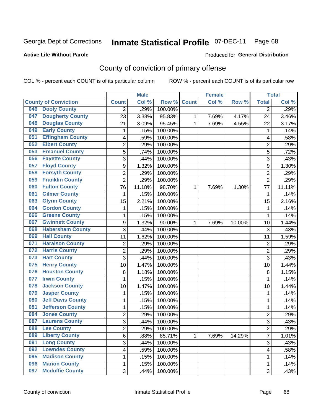## **Active Life Without Parole**

### Produced for **General Distribution**

# County of conviction of primary offense

|                                 |                | <b>Male</b> |         | <b>Female</b> |       |        | <b>Total</b>   |                     |
|---------------------------------|----------------|-------------|---------|---------------|-------|--------|----------------|---------------------|
| <b>County of Conviction</b>     | <b>Count</b>   | Col %       | Row %   | <b>Count</b>  | Col % | Row %  | <b>Total</b>   | Col %               |
| <b>Dooly County</b><br>046      | 2              | .29%        | 100.00% |               |       |        | 2              | .29%                |
| <b>Dougherty County</b><br>047  | 23             | 3.38%       | 95.83%  | 1             | 7.69% | 4.17%  | 24             | 3.46%               |
| <b>Douglas County</b><br>048    | 21             | 3.09%       | 95.45%  | 1             | 7.69% | 4.55%  | 22             | 3.17%               |
| <b>Early County</b><br>049      | 1              | .15%        | 100.00% |               |       |        | $\mathbf 1$    | .14%                |
| <b>Effingham County</b><br>051  | 4              | .59%        | 100.00% |               |       |        | 4              | .58%                |
| <b>Elbert County</b><br>052     | $\overline{2}$ | .29%        | 100.00% |               |       |        | $\overline{2}$ | .29%                |
| <b>Emanuel County</b><br>053    | 5              | .74%        | 100.00% |               |       |        | 5              | .72%                |
| <b>Fayette County</b><br>056    | 3              | .44%        | 100.00% |               |       |        | 3              | .43%                |
| <b>Floyd County</b><br>057      | 9              | 1.32%       | 100.00% |               |       |        | 9              | 1.30%               |
| <b>Forsyth County</b><br>058    | $\overline{2}$ | .29%        | 100.00% |               |       |        | $\overline{2}$ | .29%                |
| <b>Franklin County</b><br>059   | $\overline{2}$ | .29%        | 100.00% |               |       |        | $\overline{2}$ | .29%                |
| <b>Fulton County</b><br>060     | 76             | 11.18%      | 98.70%  | 1             | 7.69% | 1.30%  | 77             | 11.11%              |
| <b>Gilmer County</b><br>061     | $\mathbf 1$    | .15%        | 100.00% |               |       |        | 1              | .14%                |
| <b>Glynn County</b><br>063      | 15             | 2.21%       | 100.00% |               |       |        | 15             | 2.16%               |
| <b>Gordon County</b><br>064     | 1              | .15%        | 100.00% |               |       |        | 1              | .14%                |
| <b>Greene County</b><br>066     | 1              | .15%        | 100.00% |               |       |        | $\mathbf{1}$   | .14%                |
| <b>Gwinnett County</b><br>067   | 9              | 1.32%       | 90.00%  | 1             | 7.69% | 10.00% | 10             | 1.44%               |
| <b>Habersham County</b><br>068  | 3              | .44%        | 100.00% |               |       |        | 3              | .43%                |
| <b>Hall County</b><br>069       | 11             | 1.62%       | 100.00% |               |       |        | 11             | 1.59%               |
| <b>Haralson County</b><br>071   | $\mathbf 2$    | .29%        | 100.00% |               |       |        | $\overline{2}$ | .29%                |
| <b>Harris County</b><br>072     | 2              | .29%        | 100.00% |               |       |        | $\overline{c}$ | .29%                |
| <b>Hart County</b><br>073       | 3              | .44%        | 100.00% |               |       |        | 3              | .43%                |
| <b>Henry County</b><br>075      | 10             | 1.47%       | 100.00% |               |       |        | 10             | 1.44%               |
| <b>Houston County</b><br>076    | 8              | 1.18%       | 100.00% |               |       |        | 8              | 1.15%               |
| <b>Irwin County</b><br>077      | 1              | .15%        | 100.00% |               |       |        | $\mathbf{1}$   | .14%                |
| <b>Jackson County</b><br>078    | 10             | 1.47%       | 100.00% |               |       |        | 10             | 1.44%               |
| <b>Jasper County</b><br>079     | 1              | .15%        | 100.00% |               |       |        | 1              | .14%                |
| <b>Jeff Davis County</b><br>080 | 1              | .15%        | 100.00% |               |       |        | 1              | .14%                |
| <b>Jefferson County</b><br>081  | 1              | .15%        | 100.00% |               |       |        | 1              | .14%                |
| <b>Jones County</b><br>084      | $\overline{2}$ | .29%        | 100.00% |               |       |        | $\overline{2}$ | .29%                |
| <b>Laurens County</b><br>087    | 3              | .44%        | 100.00% |               |       |        | 3              | .43%                |
| 088<br><b>Lee County</b>        | 2              | .29%        | 100.00% |               |       |        | 2              | .29%                |
| <b>Liberty County</b><br>089    | 6              | .88%        | 85.71%  | 1             | 7.69% | 14.29% | $\overline{7}$ | $\overline{1.01\%}$ |
| <b>Long County</b><br>091       | 3              | .44%        | 100.00% |               |       |        | 3              | .43%                |
| <b>Lowndes County</b><br>092    | 4              | .59%        | 100.00% |               |       |        | 4              | .58%                |
| <b>Madison County</b><br>095    | 1              | .15%        | 100.00% |               |       |        | 1              | .14%                |
| <b>Marion County</b><br>096     | 1              | .15%        | 100.00% |               |       |        | 1              | .14%                |
| <b>Mcduffie County</b><br>097   | $\mathfrak{S}$ | .44%        | 100.00% |               |       |        | 3              | .43%                |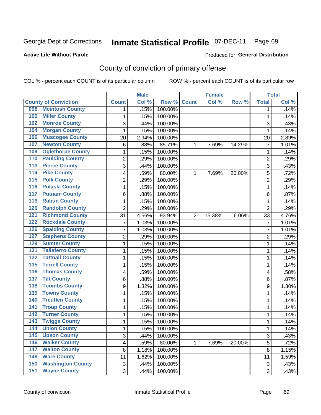### **Active Life Without Parole**

### Produced for **General Distribution**

# County of conviction of primary offense

|                                 |                | <b>Male</b> |         |                | <b>Female</b> |        |                           | <b>Total</b> |
|---------------------------------|----------------|-------------|---------|----------------|---------------|--------|---------------------------|--------------|
| <b>County of Conviction</b>     | <b>Count</b>   | Col %       | Row %   | <b>Count</b>   | Col %         | Row %  | <b>Total</b>              | Col %        |
| <b>Mcintosh County</b><br>098   | 1              | .15%        | 100.00% |                |               |        | 1                         | .14%         |
| <b>Miller County</b><br>100     | 1              | .15%        | 100.00% |                |               |        | 1                         | .14%         |
| <b>Monroe County</b><br>102     | 3              | .44%        | 100.00% |                |               |        | 3                         | .43%         |
| <b>Morgan County</b><br>104     | $\mathbf{1}$   | .15%        | 100.00% |                |               |        | 1                         | .14%         |
| <b>Muscogee County</b><br>106   | 20             | 2.94%       | 100.00% |                |               |        | 20                        | 2.89%        |
| <b>Newton County</b><br>107     | 6              | .88%        | 85.71%  | 1              | 7.69%         | 14.29% | $\overline{7}$            | 1.01%        |
| <b>Oglethorpe County</b><br>109 | 1              | .15%        | 100.00% |                |               |        | 1                         | .14%         |
| <b>Paulding County</b><br>110   | $\overline{2}$ | .29%        | 100.00% |                |               |        | $\overline{2}$            | .29%         |
| <b>Pierce County</b><br>113     | 3              | .44%        | 100.00% |                |               |        | 3                         | .43%         |
| <b>Pike County</b><br>114       | 4              | .59%        | 80.00%  | 1              | 7.69%         | 20.00% | 5                         | .72%         |
| <b>Polk County</b><br>115       | 2              | .29%        | 100.00% |                |               |        | $\overline{2}$            | .29%         |
| <b>Pulaski County</b><br>116    | 1              | .15%        | 100.00% |                |               |        | $\mathbf 1$               | .14%         |
| <b>Putnam County</b><br>117     | 6              | .88%        | 100.00% |                |               |        | 6                         | .87%         |
| <b>Rabun County</b><br>119      | 1              | .15%        | 100.00% |                |               |        | 1                         | .14%         |
| <b>Randolph County</b><br>120   | $\overline{2}$ | .29%        | 100.00% |                |               |        | $\overline{2}$            | .29%         |
| <b>Richmond County</b><br>121   | 31             | 4.56%       | 93.94%  | $\overline{2}$ | 15.38%        | 6.06%  | 33                        | 4.76%        |
| <b>Rockdale County</b><br>122   | $\overline{7}$ | 1.03%       | 100.00% |                |               |        | $\overline{7}$            | 1.01%        |
| <b>Spalding County</b><br>126   | 7              | 1.03%       | 100.00% |                |               |        | $\overline{7}$            | 1.01%        |
| <b>Stephens County</b><br>127   | 2              | .29%        | 100.00% |                |               |        | $\overline{2}$            | .29%         |
| <b>Sumter County</b><br>129     | 1              | .15%        | 100.00% |                |               |        | 1                         | .14%         |
| <b>Taliaferro County</b><br>131 | 1              | .15%        | 100.00% |                |               |        | 1                         | .14%         |
| <b>Tattnall County</b><br>132   | 1              | .15%        | 100.00% |                |               |        | $\mathbf 1$               | .14%         |
| <b>Terrell County</b><br>135    | 1              | .15%        | 100.00% |                |               |        | 1                         | .14%         |
| <b>Thomas County</b><br>136     | 4              | .59%        | 100.00% |                |               |        | 4                         | .58%         |
| <b>Tift County</b><br>137       | 6              | .88%        | 100.00% |                |               |        | 6                         | .87%         |
| <b>Toombs County</b><br>138     | 9              | 1.32%       | 100.00% |                |               |        | 9                         | 1.30%        |
| <b>Towns County</b><br>139      | 1              | .15%        | 100.00% |                |               |        | 1                         | .14%         |
| <b>Treutlen County</b><br>140   | 1              | .15%        | 100.00% |                |               |        | 1                         | .14%         |
| <b>Troup County</b><br>141      | 1              | .15%        | 100.00% |                |               |        | 1                         | .14%         |
| <b>Turner County</b><br>142     | 1              | .15%        | 100.00% |                |               |        | 1                         | .14%         |
| <b>Twiggs County</b><br>143     | 1              | .15%        | 100.00% |                |               |        | 1                         | .14%         |
| 144<br><b>Union County</b>      | 1              | .15%        | 100.00% |                |               |        | 1                         | .14%         |
| <b>Upson County</b><br>145      | 3              | .44%        | 100.00% |                |               |        | 3                         | .43%         |
| 146<br><b>Walker County</b>     | 4              | .59%        | 80.00%  | $\mathbf{1}$   | 7.69%         | 20.00% | 5                         | .72%         |
| <b>Walton County</b><br>147     | 8              | 1.18%       | 100.00% |                |               |        | 8                         | 1.15%        |
| <b>Ware County</b><br>148       | 11             | 1.62%       | 100.00% |                |               |        | 11                        | 1.59%        |
| <b>Washington County</b><br>150 | $\sqrt{3}$     | .44%        | 100.00% |                |               |        | $\ensuremath{\mathsf{3}}$ | .43%         |
| <b>Wayne County</b><br>151      | 3              | .44%        | 100.00% |                |               |        | 3                         | .43%         |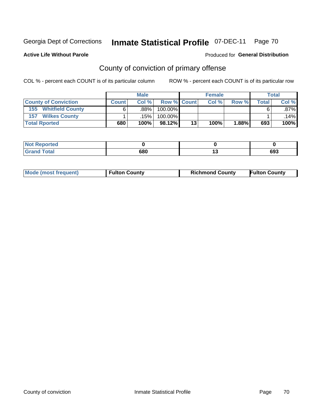**Active Life Without Parole** 

### Produced for **General Distribution**

# County of conviction of primary offense

|                                | <b>Male</b>  |      |                    |    | <b>Female</b> | <b>Total</b> |       |         |
|--------------------------------|--------------|------|--------------------|----|---------------|--------------|-------|---------|
| <b>County of Conviction</b>    | <b>Count</b> | Col% | <b>Row % Count</b> |    | Col %         | Row %        | Total | Col %   |
| <b>Whitfield County</b><br>155 |              | .88% | 100.00%            |    |               |              |       | .87% I  |
| <b>Wilkes County</b><br>157    |              | .15% | 100.00%            |    |               |              |       | $14\%$  |
| <b>Total Rported</b>           | 680          | 100% | $98.12\%$          | 13 | 100%          | 1.88%        | 693   | $100\%$ |

| <b>rted</b><br>N |     |         |
|------------------|-----|---------|
| <b>ota</b>       | 680 | <br>ხუე |

| <b>Mode (most frequent)</b> | <b>Fulton County</b> | <b>Richmond County</b> | <b>Fulton County</b> |
|-----------------------------|----------------------|------------------------|----------------------|
|                             |                      |                        |                      |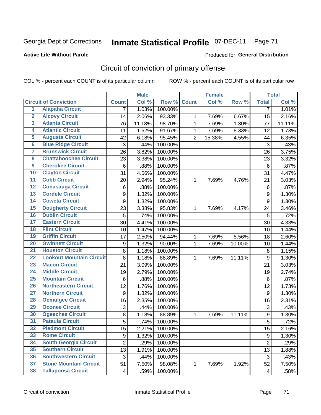Produced for **General Distribution**

## **Active Life Without Parole**

# Circuit of conviction of primary offense

|                         |                                 |                | <b>Male</b> |         | <b>Female</b>  |        |        | <b>Total</b>     |        |
|-------------------------|---------------------------------|----------------|-------------|---------|----------------|--------|--------|------------------|--------|
|                         | <b>Circuit of Conviction</b>    | <b>Count</b>   | Col %       | Row %   | <b>Count</b>   | Col %  | Row %  | <b>Total</b>     | Col %  |
| $\overline{1}$          | <b>Alapaha Circuit</b>          | $\overline{7}$ | 1.03%       | 100.00% |                |        |        | 7                | 1.01%  |
| $\overline{2}$          | <b>Alcovy Circuit</b>           | 14             | 2.06%       | 93.33%  | 1              | 7.69%  | 6.67%  | 15               | 2.16%  |
| $\overline{\mathbf{3}}$ | <b>Atlanta Circuit</b>          | 76             | 11.18%      | 98.70%  | $\mathbf{1}$   | 7.69%  | 1.30%  | 77               | 11.11% |
| 4                       | <b>Atlantic Circuit</b>         | 11             | 1.62%       | 91.67%  | 1              | 7.69%  | 8.33%  | 12               | 1.73%  |
| 5                       | <b>Augusta Circuit</b>          | 42             | 6.18%       | 95.45%  | $\overline{2}$ | 15.38% | 4.55%  | 44               | 6.35%  |
| $6\phantom{a}$          | <b>Blue Ridge Circuit</b>       | 3              | .44%        | 100.00% |                |        |        | 3                | .43%   |
| 7                       | <b>Brunswick Circuit</b>        | 26             | 3.82%       | 100.00% |                |        |        | 26               | 3.75%  |
| 8                       | <b>Chattahoochee Circuit</b>    | 23             | 3.38%       | 100.00% |                |        |        | 23               | 3.32%  |
| $\overline{9}$          | <b>Cherokee Circuit</b>         | 6              | .88%        | 100.00% |                |        |        | 6                | .87%   |
| 10                      | <b>Clayton Circuit</b>          | 31             | 4.56%       | 100.00% |                |        |        | 31               | 4.47%  |
| $\overline{11}$         | <b>Cobb Circuit</b>             | 20             | 2.94%       | 95.24%  | 1              | 7.69%  | 4.76%  | 21               | 3.03%  |
| $\overline{12}$         | <b>Conasauga Circuit</b>        | 6              | .88%        | 100.00% |                |        |        | $\,6$            | .87%   |
| $\overline{13}$         | <b>Cordele Circuit</b>          | 9              | 1.32%       | 100.00% |                |        |        | $\boldsymbol{9}$ | 1.30%  |
| 14                      | <b>Coweta Circuit</b>           | 9              | 1.32%       | 100.00% |                |        |        | 9                | 1.30%  |
| 15                      | <b>Dougherty Circuit</b>        | 23             | 3.38%       | 95.83%  | 1              | 7.69%  | 4.17%  | 24               | 3.46%  |
| 16                      | <b>Dublin Circuit</b>           | 5              | .74%        | 100.00% |                |        |        | 5                | .72%   |
| 17                      | <b>Eastern Circuit</b>          | 30             | 4.41%       | 100.00% |                |        |        | 30               | 4.33%  |
| 18                      | <b>Flint Circuit</b>            | 10             | 1.47%       | 100.00% |                |        |        | 10               | 1.44%  |
| 19                      | <b>Griffin Circuit</b>          | 17             | 2.50%       | 94.44%  | 1              | 7.69%  | 5.56%  | 18               | 2.60%  |
| 20                      | <b>Gwinnett Circuit</b>         | 9              | 1.32%       | 90.00%  | $\mathbf 1$    | 7.69%  | 10.00% | 10               | 1.44%  |
| $\overline{21}$         | <b>Houston Circuit</b>          | 8              | 1.18%       | 100.00% |                |        |        | 8                | 1.15%  |
| $\overline{22}$         | <b>Lookout Mountain Circuit</b> | 8              | 1.18%       | 88.89%  | $\mathbf 1$    | 7.69%  | 11.11% | 9                | 1.30%  |
| 23                      | <b>Macon Circuit</b>            | 21             | 3.09%       | 100.00% |                |        |        | 21               | 3.03%  |
| $\overline{24}$         | <b>Middle Circuit</b>           | 19             | 2.79%       | 100.00% |                |        |        | 19               | 2.74%  |
| $\overline{25}$         | <b>Mountain Circuit</b>         | 6              | .88%        | 100.00% |                |        |        | 6                | .87%   |
| 26                      | <b>Northeastern Circuit</b>     | 12             | 1.76%       | 100.00% |                |        |        | 12               | 1.73%  |
| $\overline{27}$         | <b>Northern Circuit</b>         | 9              | 1.32%       | 100.00% |                |        |        | $\boldsymbol{9}$ | 1.30%  |
| 28                      | <b>Ocmulgee Circuit</b>         | 16             | 2.35%       | 100.00% |                |        |        | 16               | 2.31%  |
| 29                      | <b>Oconee Circuit</b>           | 3              | .44%        | 100.00% |                |        |        | 3                | .43%   |
| 30                      | <b>Ogeechee Circuit</b>         | 8              | 1.18%       | 88.89%  | $\mathbf 1$    | 7.69%  | 11.11% | $\boldsymbol{9}$ | 1.30%  |
| $\overline{31}$         | <b>Pataula Circuit</b>          | $\overline{5}$ | .74%        | 100.00% |                |        |        | $\overline{5}$   | .72%   |
| 32                      | <b>Piedmont Circuit</b>         | 15             | 2.21%       | 100.00% |                |        |        | 15               | 2.16%  |
| 33                      | <b>Rome Circuit</b>             | 9              | 1.32%       | 100.00% |                |        |        | 9                | 1.30%  |
| 34                      | <b>South Georgia Circuit</b>    | $\overline{2}$ | .29%        | 100.00% |                |        |        | $\overline{2}$   | .29%   |
| 35                      | <b>Southern Circuit</b>         | 13             | 1.91%       | 100.00% |                |        |        | 13               | 1.88%  |
| 36                      | <b>Southwestern Circuit</b>     | 3              | .44%        | 100.00% |                |        |        | 3                | .43%   |
| 37                      | <b>Stone Mountain Circuit</b>   | 51             | 7.50%       | 98.08%  | 1              | 7.69%  | 1.92%  | 52               | 7.50%  |
| 38                      | <b>Tallapoosa Circuit</b>       | 4              | .59%        | 100.00% |                |        |        | 4                | .58%   |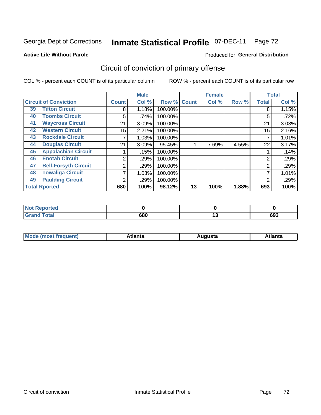### **Active Life Without Parole**

### Produced for **General Distribution**

# Circuit of conviction of primary offense

|    |                              |              | <b>Male</b><br><b>Female</b> |         |              |       | <b>Total</b> |                |       |
|----|------------------------------|--------------|------------------------------|---------|--------------|-------|--------------|----------------|-------|
|    | <b>Circuit of Conviction</b> | <b>Count</b> | Col %                        | Row %   | <b>Count</b> | Col % | Row %        | <b>Total</b>   | Col % |
| 39 | <b>Tifton Circuit</b>        | 8            | 1.18%                        | 100.00% |              |       |              | 8              | 1.15% |
| 40 | <b>Toombs Circuit</b>        | 5            | .74%                         | 100.00% |              |       |              | 5              | .72%  |
| 41 | <b>Waycross Circuit</b>      | 21           | 3.09%                        | 100.00% |              |       |              | 21             | 3.03% |
| 42 | <b>Western Circuit</b>       | 15           | 2.21%                        | 100.00% |              |       |              | 15             | 2.16% |
| 43 | <b>Rockdale Circuit</b>      |              | 1.03%                        | 100.00% |              |       |              | ⇁              | 1.01% |
| 44 | <b>Douglas Circuit</b>       | 21           | 3.09%                        | 95.45%  |              | 7.69% | 4.55%        | 22             | 3.17% |
| 45 | <b>Appalachian Circuit</b>   |              | .15%                         | 100.00% |              |       |              |                | .14%  |
| 46 | <b>Enotah Circuit</b>        | 2            | .29%                         | 100.00% |              |       |              | 2              | .29%  |
| 47 | <b>Bell-Forsyth Circuit</b>  | 2            | .29%                         | 100.00% |              |       |              | $\overline{2}$ | .29%  |
| 48 | <b>Towaliga Circuit</b>      | 7            | 1.03%                        | 100.00% |              |       |              | ⇁              | 1.01% |
| 49 | <b>Paulding Circuit</b>      | ົ            | .29%                         | 100.00% |              |       |              | 2              | .29%  |
|    | <b>Total Rported</b>         | 680          | 100%                         | 98.12%  | 13           | 100%  | 1.88%        | 693            | 100%  |

| <b>eported</b>        |     |     |
|-----------------------|-----|-----|
| <b>otal</b><br>$\sim$ | 680 | 693 |

| М<br>. In n tr<br>.<br>.<br>wanta<br>Πū<br>31.<br>$\sim$ $\sim$ $\sim$ |
|------------------------------------------------------------------------|
|------------------------------------------------------------------------|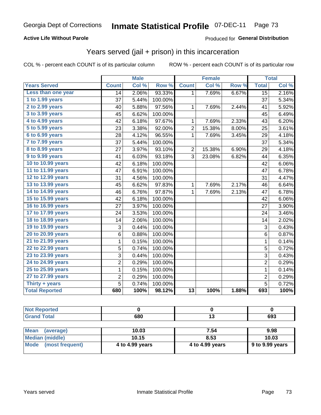#### **Active Life Without Parole**

#### Produced for **General Distribution**

### Years served (jail + prison) in this incarceration

|                       | <b>Male</b>    |       | <b>Female</b> |                 |        | <b>Total</b> |                |       |
|-----------------------|----------------|-------|---------------|-----------------|--------|--------------|----------------|-------|
| <b>Years Served</b>   | <b>Count</b>   | Col % | Row %         | <b>Count</b>    | Col %  | Row %        | <b>Total</b>   | Col % |
| Less than one year    | 14             | 2.06% | 93.33%        | 1               | 7.69%  | 6.67%        | 15             | 2.16% |
| 1 to 1.99 years       | 37             | 5.44% | 100.00%       |                 |        |              | 37             | 5.34% |
| 2 to 2.99 years       | 40             | 5.88% | 97.56%        | 1               | 7.69%  | 2.44%        | 41             | 5.92% |
| 3 to 3.99 years       | 45             | 6.62% | 100.00%       |                 |        |              | 45             | 6.49% |
| 4 to 4.99 years       | 42             | 6.18% | 97.67%        | 1               | 7.69%  | 2.33%        | 43             | 6.20% |
| 5 to 5.99 years       | 23             | 3.38% | 92.00%        | $\overline{c}$  | 15.38% | 8.00%        | 25             | 3.61% |
| 6 to 6.99 years       | 28             | 4.12% | 96.55%        | 1               | 7.69%  | 3.45%        | 29             | 4.18% |
| 7 to 7.99 years       | 37             | 5.44% | 100.00%       |                 |        |              | 37             | 5.34% |
| 8 to 8.99 years       | 27             | 3.97% | 93.10%        | 2               | 15.38% | 6.90%        | 29             | 4.18% |
| 9 to 9.99 years       | 41             | 6.03% | 93.18%        | 3               | 23.08% | 6.82%        | 44             | 6.35% |
| 10 to 10.99 years     | 42             | 6.18% | 100.00%       |                 |        |              | 42             | 6.06% |
| 11 to 11.99 years     | 47             | 6.91% | 100.00%       |                 |        |              | 47             | 6.78% |
| 12 to 12.99 years     | 31             | 4.56% | 100.00%       |                 |        |              | 31             | 4.47% |
| 13 to 13.99 years     | 45             | 6.62% | 97.83%        | 1               | 7.69%  | 2.17%        | 46             | 6.64% |
| 14 to 14.99 years     | 46             | 6.76% | 97.87%        | 1               | 7.69%  | 2.13%        | 47             | 6.78% |
| 15 to 15.99 years     | 42             | 6.18% | 100.00%       |                 |        |              | 42             | 6.06% |
| 16 to 16.99 years     | 27             | 3.97% | 100.00%       |                 |        |              | 27             | 3.90% |
| 17 to 17.99 years     | 24             | 3.53% | 100.00%       |                 |        |              | 24             | 3.46% |
| 18 to 18.99 years     | 14             | 2.06% | 100.00%       |                 |        |              | 14             | 2.02% |
| 19 to 19.99 years     | 3              | 0.44% | 100.00%       |                 |        |              | $\sqrt{3}$     | 0.43% |
| 20 to 20.99 years     | 6              | 0.88% | 100.00%       |                 |        |              | 6              | 0.87% |
| 21 to 21.99 years     | 1              | 0.15% | 100.00%       |                 |        |              | 1              | 0.14% |
| 22 to 22.99 years     | 5              | 0.74% | 100.00%       |                 |        |              | $\overline{5}$ | 0.72% |
| 23 to 23.99 years     | 3              | 0.44% | 100.00%       |                 |        |              | 3              | 0.43% |
| 24 to 24.99 years     | $\overline{c}$ | 0.29% | 100.00%       |                 |        |              | $\overline{2}$ | 0.29% |
| 25 to 25.99 years     | $\mathbf 1$    | 0.15% | 100.00%       |                 |        |              | $\mathbf 1$    | 0.14% |
| 27 to 27.99 years     | $\overline{c}$ | 0.29% | 100.00%       |                 |        |              | $\overline{c}$ | 0.29% |
| Thirty + years        | 5              | 0.74% | 100.00%       |                 |        |              | $\overline{5}$ | 0.72% |
| <b>Total Reported</b> | 680            | 100%  | 98.12%        | $\overline{13}$ | 100%   | 1.88%        | 693            | 100%  |

| 680 | <b>000</b><br>ნუა |
|-----|-------------------|

| <b>Mean</b><br>(average)       | 10.03           | 7.54            | 9.98            |
|--------------------------------|-----------------|-----------------|-----------------|
| Median (middle)                | 10.15           | 8.53            | 10.03           |
| <b>Mode</b><br>(most frequent) | 4 to 4.99 years | 4 to 4.99 years | 9 to 9.99 years |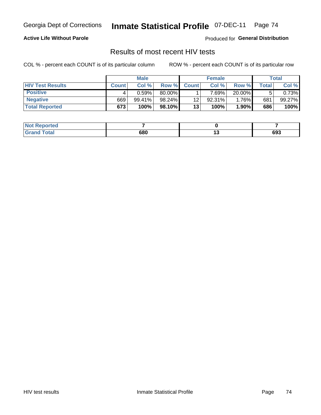#### **Active Life Without Parole**

Produced for **General Distribution**

### Results of most recent HIV tests

|                         | <b>Male</b>  |           |          | <b>Female</b> |          |           | Total       |        |
|-------------------------|--------------|-----------|----------|---------------|----------|-----------|-------------|--------|
| <b>HIV Test Results</b> | <b>Count</b> | Col%      | Row %I   | <b>Count</b>  | Col %    | Row %     | $\tau$ otal | Col %  |
| <b>Positive</b>         |              | 0.59%     | 80.00%   |               | $7.69\%$ | $20.00\%$ |             | 0.73%  |
| <b>Negative</b>         | 669          | $99.41\%$ | 98.24%   | 12            | 92.31%   | 1.76%     | 681         | 99.27% |
| <b>Total Reported</b>   | 673          | 100%      | 98.10% I | 13            | 100%     | 1.90%     | 686         | 100%   |

| <b>Not Reported</b> |     |     |
|---------------------|-----|-----|
| <b>Grand Total</b>  | 680 | 693 |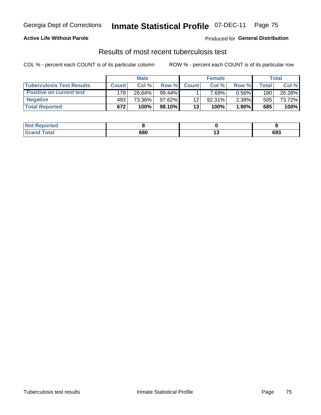#### **Active Life Without Parole**

Produced for **General Distribution**

### Results of most recent tuberculosis test

|                                  | <b>Male</b>  |        |           | <b>Female</b> |          |          | Total |        |
|----------------------------------|--------------|--------|-----------|---------------|----------|----------|-------|--------|
| <b>Tuberculosis Test Results</b> | <b>Count</b> | Col %  | Row %     | <b>Count</b>  | Col %    | Row %    | Total | Col %  |
| <b>Positive on current test</b>  | 179          | 26.64% | $99.44\%$ |               | $7.69\%$ | $0.56\%$ | 180   | 26.28% |
| <b>Negative</b>                  | 493          | 73.36% | $97.62\%$ | 12            | 92.31%   | $2.38\%$ | 505   | 73.72% |
| <b>Total Reported</b>            | 672          | 100%   | $98.10\%$ | 13            | 100%     | $1.90\%$ | 685   | 100%   |

| <b>Not Reported</b>         |     |        |     |
|-----------------------------|-----|--------|-----|
| <b>Total</b><br><b>Gran</b> | 680 | $\sim$ | 693 |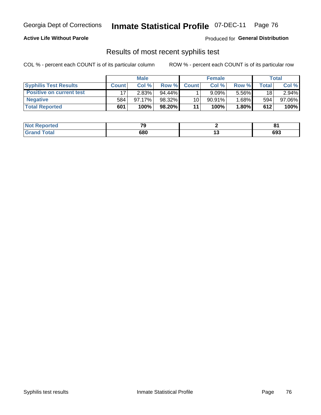#### **Active Life Without Parole**

Produced for **General Distribution**

### Results of most recent syphilis test

|                                 | <b>Male</b>  |        |           | <b>Female</b> |           |          | Total |        |
|---------------------------------|--------------|--------|-----------|---------------|-----------|----------|-------|--------|
| <b>Syphilis Test Results</b>    | <b>Count</b> | Col %  | Row %     | <b>Count</b>  | Col %     | Row %I   | Total | Col %  |
| <b>Positive on current test</b> |              | 2.83%  | $94.44\%$ |               | 9.09%     | 5.56%    | 18    | 2.94%  |
| <b>Negative</b>                 | 584          | 97.17% | 98.32%    | 10            | $90.91\%$ | $1.68\%$ | 594   | 97.06% |
| <b>Total Reported</b>           | 601          | 100%   | 98.20%    | 11            | 100%      | 1.80%    | 612   | 100%   |

| <b>Not Reported</b> | 70  |        | о.  |
|---------------------|-----|--------|-----|
| <b>Grand Total</b>  | 680 | $\sim$ | 693 |